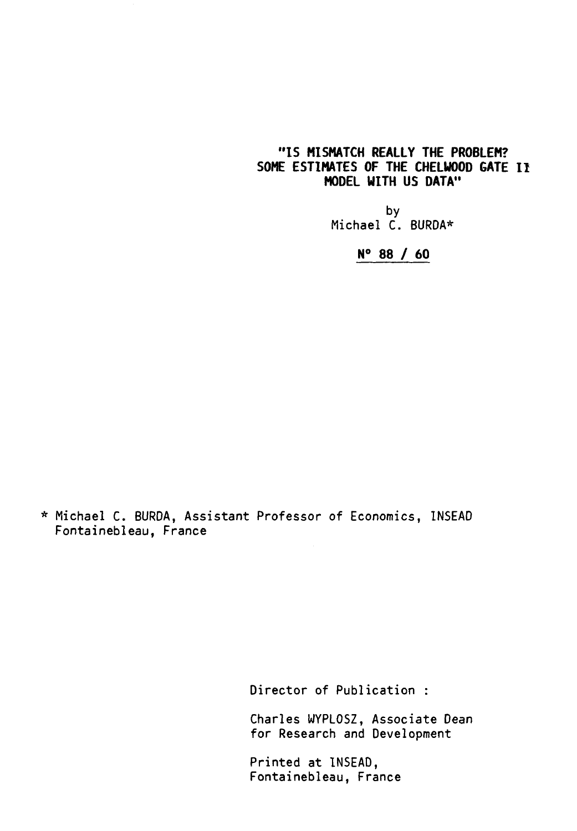## **"IS MISMATCH REALLY THE PROBLEM? SOME ESTIMATES OF THE CHELWOOD GATE I/ MODEL WITH US DATA"**

by Michael C. BURDA\*

**N° 88 / 60** 

\* Michael C. BURDA, Assistant Professor of Economics, INSEAD Fontainebleau, France

Director of Publication :

Charles WYPLOSZ, Associate Dean for Research and Development

Printed at INSEAD, Fontainebleau, France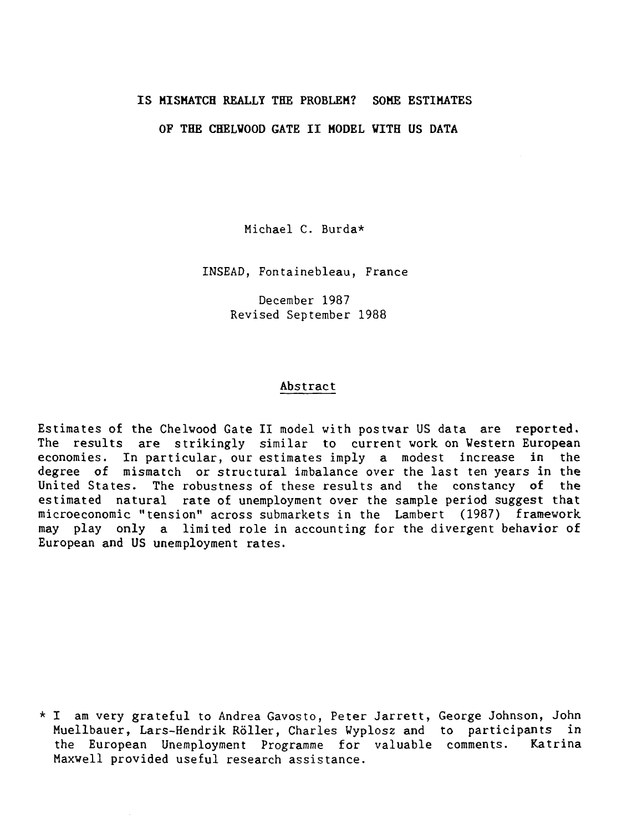### IS MISMATCH REALLY THE PROBLEM? SOME ESTIMATES

### OF THE CHELVOOD GATE II MODEL WITH US DATA

Michael C. Burda\*

INSEAD, Fontainebleau, France

December 1987 Revised September 1988

#### Abstract

Estimates of the Chelwood Gate II model with postwar US data are reported. The results are strikingly similar to current work on Western European<br>economies. In particular, our estimates imply a modest increase in the economies. In particular, our estimates imply a modest increase in degree of mismatch or structural imbalance over the last ten years in the United States. The robustness of these results and the constancy of the estimated natural rate of unemployment over the sample period suggest that microeconomic "tension" across submarkets in the Lambert (1987) framework may play only a limited role in accounting for the divergent behavior of European and US unemployment rates.

\* I am very grateful to Andrea Gavosto, Peter Jarrett, George Johnson, John Muellbauer, Lars-Hendrik Röller, Charles Wyplosz and to participants in the European Unemployment Programme for valuable comments. Katrina Maxwell provided useful research assistance.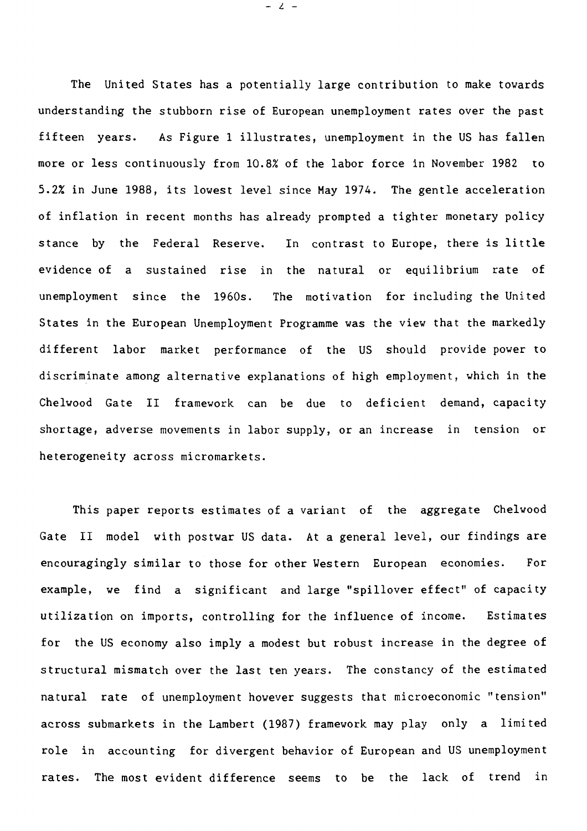The United States has a potentially large contribution to make towards understanding the stubborn rise of European unemployment rates over the past fifteen years. As Figure 1 illustrates, unemployment in the US has fallen more or less continuously from 10.8% of the labor force in November 1982 to 5.2% in June 1988, its lowest level since May 1974. The gentle acceleration of inflation in recent months has already prompted a tighter monetary policy stance by the Federal Reserve. In contrast to Europe, there is little evidence of a sustained rise in the natural or equilibrium rate of unemployment since the 1960s. The motivation for including the United States in the European Unemployment Programme was the view that the markedly different labor market performance of the US should provide power to discriminate among alternative explanations of high employment, which in the Chelwood Gate II framework can be due to deficient demand, capacity shortage, adverse movements in labor supply, or an increase in tension or heterogeneity across micromarkets.

This paper reports estimates of a variant of the aggregate Chelwood Gate II model with postwar US data. At a general level, our findings are encouragingly similar to those for other Western European economies. For example, we find a significant and large "spillover effect" of capacity utilization on imports, controlling for the influence of income. Estimates for the US economy also imply a modest but robust increase in the degree **of**  structural mismatch over the last ten years. The constancy of the estimated natural rate of unemployment however suggests that microeconomic "tension" across submarkets in the Lambert (1987) framework may play only a limited role in accounting for divergent behavior of European and US unemployment rates. The most evident difference seems to be the lack of trend in

- z -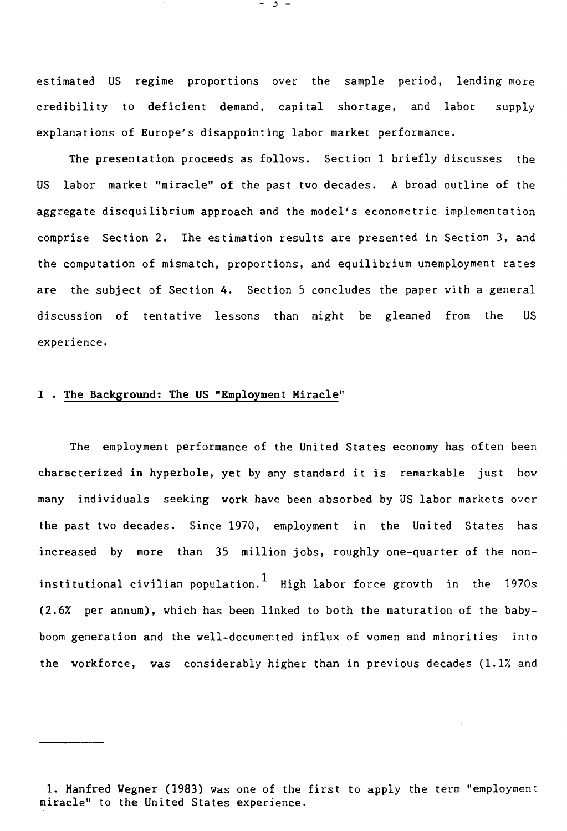estimated US regime proportions over the sample period, lending more credibility to deficient demand, capital shortage, and labor supply explanations of Europe's disappointing labor market performance.

The presentation proceeds as follows. Section 1 briefly discusses the US labor market "miracle" of the past two decades. A broad outline of the aggregate disequilibrium approach and the model's econometric implementation comprise Section 2. The estimation results are presented in Section 3, and the computation of mismatch, proportions, and equilibrium unemployment rates are the subject of Section 4. Section 5 concludes the paper with a general discussion of tentative lessons than might be gleaned from the US experience.

### I . The Background: The US "Employment Miracle"

The employment performance of the United States economy has often been characterized in hyperbole, yet by any standard it is remarkable just how many individuals seeking work have been absorbed by US labor markets over the past two decades. Since 1970, employment in the United States has increased by more than 35 million jobs, roughly one-quarter of the noninstitutional civilian population.<sup>1</sup> High labor force growth in the 1970s (2.6% per annum), which has been linked to both the maturation of the babyboom generation and the well-documented influx of women and minorities into the workforce, was considerably higher than in previous decades (1.1% and

1. Manfred Wegner (1983) was one of the first to apply the term "employment miracle" to the United States experience.

- 3 -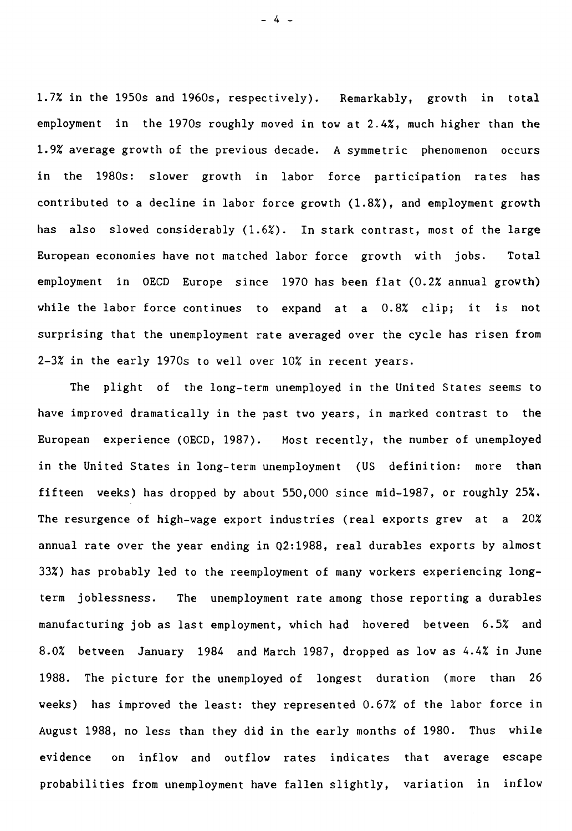1.7% in the 1950s and 1960s, respectively). Remarkably, growth in total employment in the 1970s roughly moved in tow at 2.4%, much higher than the 1.9% average growth of the previous decade. A symmetric phenomenon occurs in the 1980s: slower growth in labor force participation rates has contributed to a decline in labor force growth (1.8%), and employment growth has also slowed considerably (1.6%). In stark contrast, most of the large European economies have not matched labor force growth with jobs. Total employment in OECD Europe since 1970 has been flat (0.2% annual growth) while the labor force continues to expand at a 0.8% clip; it is not surprising that the unemployment rate averaged over the cycle has risen from 2-3% in the early 1970s to well over 10% in recent years.

The plight of the long-term unemployed in the United States seems to have improved dramatically in the past two years, in marked contrast to the European experience (OECD, 1987). Most recently, the number of unemployed in the United States in long-term unemployment (US definition: more than fifteen weeks) has dropped by about 550,000 since mid-1987, or roughly 25%. The resurgence of high-wage export industries (real exports grew at a 20% annual rate over the year ending in Q2:1988, real durables exports by almost 33%) has probably led to the reemployment of many workers experiencing longterm joblessness. The unemployment rate among those reporting a durables manufacturing job as last employment, which had hovered between 6.5% and 8.0% between January 1984 and March 1987, dropped as low as 4.4% in June 1988. The picture for the unemployed of longest duration (more than 26 weeks) has improved the least: they represented 0.67% of the labor force in August 1988, no less than they did in the early months of 1980. Thus while evidence on inflow and outflow rates indicates that average escape probabilities from unemployment have fallen slightly, variation in inflow

- 4 -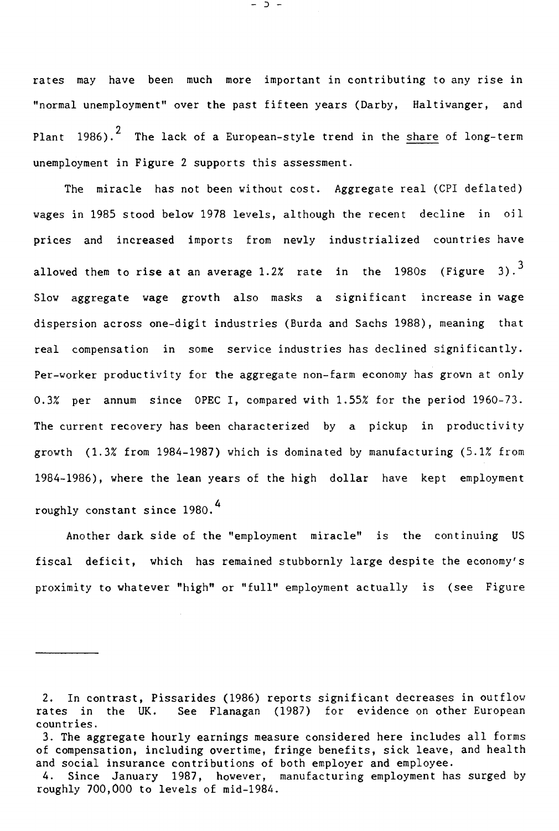rates may have been much more important in contributing to any rise in "normal unemployment" over the past fifteen years (Darby, Haltiwanger, and Plant 1986).<sup>2</sup> The lack of a European-style trend in the share of long-term unemployment in Figure 2 supports this assessment.

The miracle has not been without cost. Aggregate real (CPI deflated) wages in 1985 stood below 1978 levels, although the recent decline in oil prices and increased imports from newly industrialized countries have allowed them to rise at an average 1.2% rate in the 1980s (Figure 3).<sup>3</sup> Slow aggregate wage growth also masks a significant increase in wage dispersion across one-digit industries (Burda and Sachs 1988), meaning that real compensation in some service industries has declined significantly. Per-worker productivity for the aggregate non-farm economy has grown at only 0.3% per annum since OPEC I, compared with 1.55% for the period 1960-73. The current recovery has been characterized by a pickup in productivity growth (1.3% from 1984-1987) which is dominated by manufacturing (5.1% from 1984-1986), where the lean years of the high dollar have kept employment roughly constant since 1980.4

Another dark side of the "employment miracle" is the continuing US fiscal deficit, which has remained stubbornly large despite the economy's proximity to whatever "high" or "full" employment actually is (see Figure

- D \_

<sup>2.</sup> In contrast, Pissarides (1986) reports significant decreases in outflow rates in the UK. See Flanagan (1987) for evidence on other European countries.

<sup>3.</sup> The aggregate hourly earnings measure considered here includes all forms of compensation, including overtime, fringe benefits, sick leave, and health and social insurance contributions of both employer and employee.

<sup>4.</sup> Since January 1987, however, manufacturing employment has surged by roughly 700,000 to levels of mid-1984.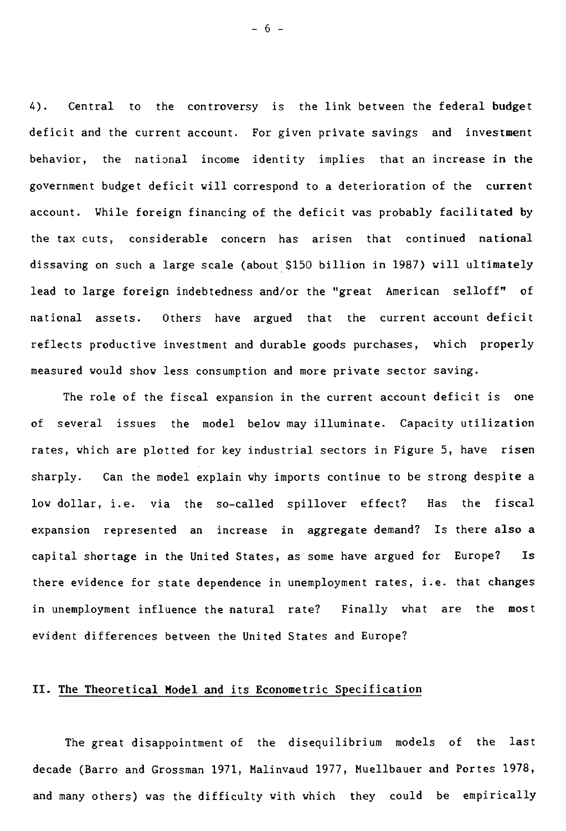4). Central to the controversy is the link between the federal budget deficit and the current account. For given private savings and investment behavior, the national income identity implies that an increase in the government budget deficit will correspond to a deterioration of the current account. While foreign financing of the deficit was probably facilitated by the tax cuts, considerable concern has arisen that continued national dissaving on such a large scale (about \$150 billion in 1987) will ultimately lead to large foreign indebtedness and/or the "great American selloff" of national assets. Others have argued that the current account deficit reflects productive investment and durable goods purchases, which properly measured would show less consumption and more private sector saving.

The role of the fiscal expansion in the current account deficit is one of several issues the model below may illuminate. Capacity utilization rates, which are plotted for key industrial sectors in Figure 5, have risen sharply. Can the model explain why imports continue to be strong despite a low dollar, i.e. via the so-called spillover effect? Has the fiscal expansion represented an increase in aggregate demand? Is there **also a**  capital shortage in the United States, as some have argued for Europe? Is there evidence for state dependence in unemployment rates, i.e. that changes in unemployment influence the natural rate? Finally what are the most evident differences between the United States and Europe?

## **II. The Theoretical Model and its Econometric Specification**

The great disappointment of the disequilibrium models of the last decade (Barro and Grossman 1971, Malinvaud 1977, Muellbauer and Portes 1978, and many others) was the difficulty with which they could be empirically

- 6 -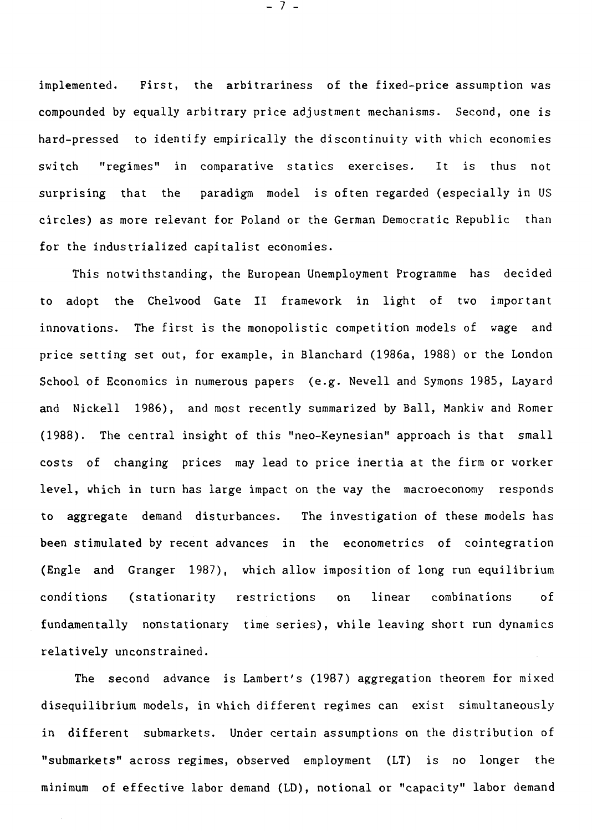implemented. First, the arbitrariness of the fixed-price assumption was compounded by equally arbitrary price adjustment mechanisms. Second, one is hard-pressed to identify empirically the discontinuity with which economies switch "regimes" in comparative statics exercises. It is thus not surprising that the paradigm model is often regarded (especially in US circles) as more relevant for Poland or the German Democratic Republic than for the industrialized capitalist economies.

This notwithstanding, the European Unemployment Programme has decided to adopt the Chelwood Gate II framework in light of two important innovations. The first is the monopolistic competition models of wage and price setting set out, for example, in Blanchard (1986a, 1988) or the London School of Economics in numerous papers (e.g. Newell and Symons 1985, Layard and Nickell 1986), and most recently summarized by Ball, Mankiw and Romer (1988). The central insight of this "neo-Keynesian" approach is that small costs of changing prices may lead to price inertia at the firm or worker level, which in turn has large impact on the way the macroeconomy responds to aggregate demand disturbances. The investigation of these models has been stimulated by recent advances in the econometrics of cointegration (Engle and Granger 1987), which allow imposition of long run equilibrium conditions (stationarity restrictions on linear combinations of fundamentally nonstationary time series), while leaving short run dynamics relatively unconstrained.

The second advance is Lambert's (1987) aggregation theorem for mixed disequilibrium models, in which different regimes can exist simultaneously in different submarkets. Under certain assumptions on the distribution of "submarkets" across regimes, observed employment (LT) is no longer the minimum of effective labor demand (LD), notional or "capacity" labor demand

- 7 -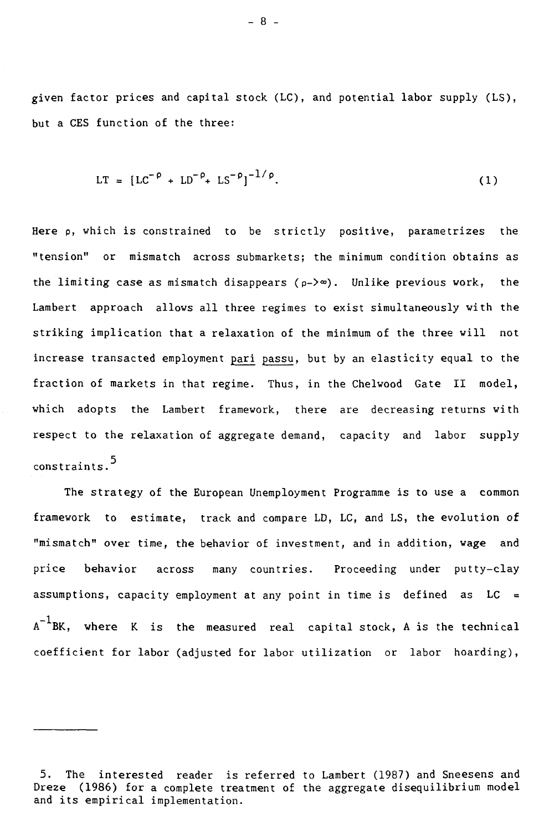given factor prices and capital stock (LC), and potential labor supply (LS), but a CES function of the three:

$$
LT = [LC^{-\rho} + LD^{-\rho} + LS^{-\rho}]^{-1/\rho}.
$$
 (1)

Here p, which is constrained to be strictly positive, parametrizes the "tension" or mismatch across submarkets; the minimum condition obtains as the limiting case as mismatch disappears  $(\rho - \ge \infty)$ . Unlike previous work, the Lambert approach allows all three regimes to exist simultaneously with the striking implication that a relaxation of the minimum of the three will not increase transacted employment pari passu, but by an elasticity equal to the fraction of markets in that regime. Thus, in the Chelwood Gate II model, which adopts the Lambert framework, there are decreasing returns with respect to the relaxation of aggregate demand, capacity and labor supply constraints.5

The strategy of the European Unemployment Programme is to use a common framework to estimate, track and compare LD, LC, and LS, the evolution of "mismatch" over time, the behavior of investment, and in addition, wage and price behavior across many countries. Proceeding under putty-clay assumptions, capacity employment at any point in time is defined as  $LC =$  $A^{-1}$ where K is the measured real capital stock, A is the technical coefficient for labor (adjusted for labor utilization or labor hoarding),

 $- 8 -$ 

<sup>5.</sup> The interested reader is referred to Lambert (1987) and Sneesens and Dreze (1986) for a complete treatment of the aggregate disequilibrium model and its empirical implementation.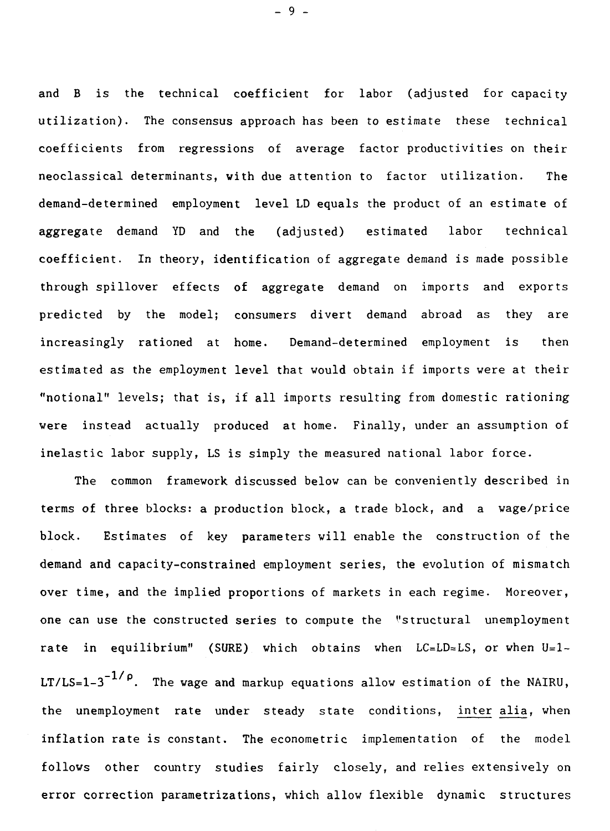and B is the technical coefficient for labor (adjusted for capacity utilization). The consensus approach has been to estimate these technical coefficients from regressions of average factor productivities on their neoclassical determinants, with due attention to factor utilization. The demand-determined employment level LD equals the product of an estimate of aggregate demand YD and the (adjusted) estimated labor technical coefficient. In theory, identification of aggregate demand is made possible through spillover effects of aggregate demand on imports and exports predicted by the model; consumers divert demand abroad as they are increasingly rationed at home. Demand-determined employment is then estimated as the employment level that would obtain if imports were at their "notional" levels; that is, if all imports resulting from domestic rationing were instead actually produced at home. Finally, under an assumption of inelastic labor supply, LS is simply the measured national labor force.

The common framework discussed below can be conveniently described in terms of three blocks: a production block, a trade block, and a wage/price block. Estimates of key parameters will enable the construction of the demand and capacity-constrained employment series, the evolution of mismatch over time, and the implied proportions of markets in each regime. Moreover, one can use the constructed series to compute the "structural unemployment rate in equilibrium" (SURE) which obtains when  $LC=LD \approx LS$ , or when  $U=1-$ LT/LS=1-3-1/p. The wage **and** markup equations allow estimation of the NAIRU, the unemployment rate under steady state conditions, inter alia, when inflation rate is constant. The econometric implementation of the model follows other country studies fairly closely, and relies extensively on error correction parametrizations, which allow flexible dynamic structures

- 9 -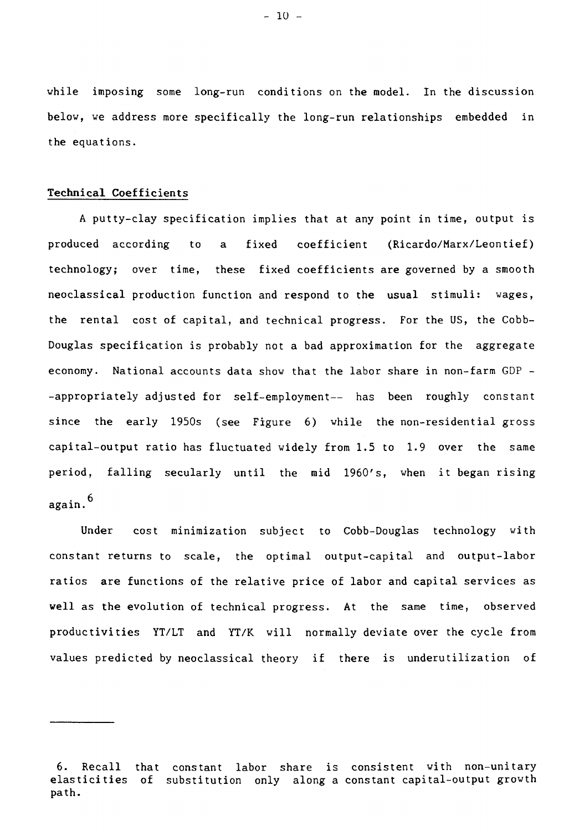while imposing some long-run conditions on the model. In the discussion below, we address more specifically the long-run relationships embedded in the equations.

## **Technical Coefficients**

A putty-clay specification implies that at any point in time, output is produced according to a fixed coefficient (Ricardo/Marx/Leontief) technology; over time, these fixed coefficients are governed by a smooth neoclassical production function and respond to the usual stimuli: wages, the rental cost of capital, and technical progress. For the US, the Cobb-Douglas specification is probably not a bad approximation for the aggregate economy. National accounts data show that the labor share in non-farm GDP - -appropriately adjusted for self-employment-- has been roughly constant since the early 1950s (see Figure 6) while the non-residential gross capital-output ratio has fluctuated widely from 1.5 to 1.9 over the same period, falling secularly until the mid 1960's, when it began rising again.6

Under cost minimization subject to Cobb-Douglas technology with constant returns to scale, the optimal output-capital and output-labor ratios are functions of the relative price of labor and capital services as well as the evolution of technical progress. At the same time, observed productivities YT/LT and YT/K will normally deviate over the cycle from values predicted by neoclassical theory if there is underutilization of

 $-10 -$ 

<sup>6.</sup> Recall that constant labor share is consistent with non-unitary elasticities of substitution only along a constant capital-output growth path.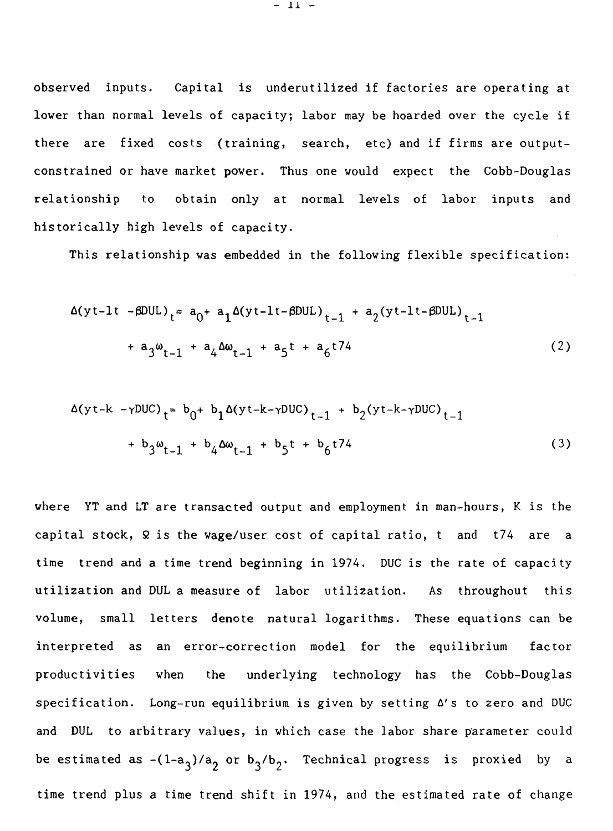observed inputs. Capital is underutilized if factories are operating at lower than normal levels of capacity; labor may be hoarded over the cycle if there are fixed costs (training, search, etc) and if firms are outputconstrained or have market power. Thus one would expect the Cobb-Douglas relationship to obtain only at normal levels of labor inputs and historically high levels of capacity.

This relationship was embedded in the following flexible specification:

$$
\Delta(yt-1t - \beta DUL)_{t} = a_0 + a_1 \Delta(yt-1t - \beta DUL)_{t-1} + a_2(yt-1t - \beta DUL)_{t-1} + a_3 \omega_{t-1} + a_4 \Delta \omega_{t-1} + a_5 t + a_6 t^{74}
$$
\n(2)

$$
\Delta(yt-k-\gamma DUC)_{t} = b_{0} + b_{1}\Delta(yt-k-\gamma DUC)_{t-1} + b_{2}(yt-k-\gamma DUC)_{t-1} + b_{3}\omega_{t-1} + b_{4}\Delta\omega_{t-1} + b_{5}t + b_{6}t^{74}
$$
\n(3)

where YT and LT are transacted output and employment in man-hours, K is the capital stock,  $\Omega$  is the wage/user cost of capital ratio, t and t74 are a time trend and a time trend beginning in 1974. DUC is the rate of capacity utilization and DUL a measure of labor utilization. As throughout this volume, small letters denote natural logarithms. These equations can be interpreted as an error-correction model for the equilibrium factor productivities when the underlying technology has the Cobb-Douglas specification. Long-run equilibrium is given by setting  $\Delta'$ s to zero and DUC and DUL to arbitrary values, in which case the labor share parameter could be estimated as -(1-a<sub>3</sub>)/a<sub>2</sub> or b<sub>3</sub>/b<sub>2</sub>. Technical progress is proxied by a time trend plus a time trend shift in 1974, and the estimated rate of change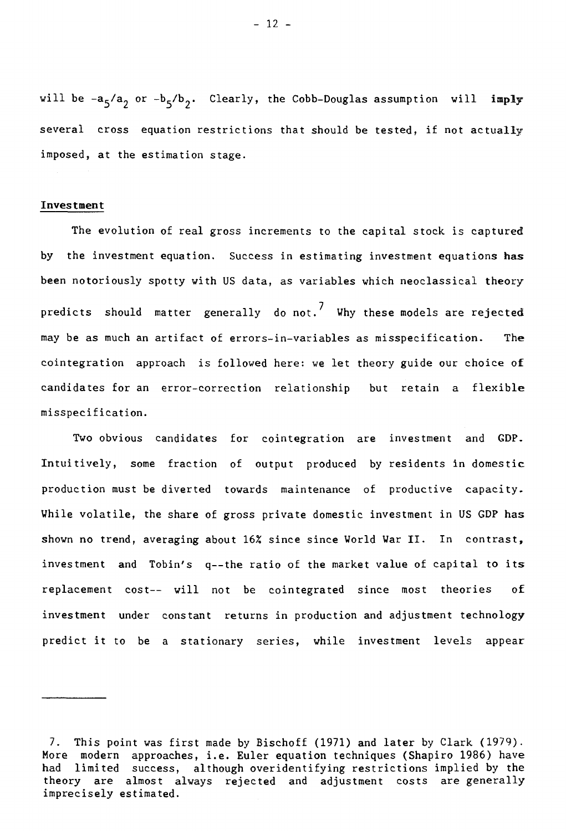will be -a<sub>5</sub>/a<sub>2</sub> or -b<sub>5</sub>/b<sub>2</sub>. Clearly, the Cobb-Douglas assumption will imply several cross equation restrictions that should be tested, if not actually imposed, at the estimation stage.

#### Investment

The evolution of real gross increments to the capital stock is captured by the investment equation. Success in estimating investment equations has been notoriously spotty with US data, as variables which neoclassical theory predicts should matter generally do not.<sup>7</sup> Why these models are rejected may be as much an artifact of errors-in-variables as misspecification. The cointegration approach is followed here: we let theory guide our choice of candidates for an error-correction relationship but retain a flexible misspecification.

Two obvious candidates for cointegration are investment and GDP. Intuitively, some fraction of output produced by residents in domestic production must be diverted towards maintenance of productive capacity. While volatile, the share of gross private domestic investment in US GDP has shown no trend, averaging about 16% since since World War II. In contrast, investment and Tobin's q--the ratio of the market value of capital to its replacement cost-- will not be cointegrated since most theories of investment under constant returns in production and adjustment technology predict it to be a stationary series, while investment levels appear

- 12 -

<sup>7.</sup> This point was first made by Bischoff (1971) and later by Clark (1979). More modern approaches, i.e. Euler equation techniques (Shapiro 1986) have had limited success, although overidentifying restrictions implied by the theory are almost always rejected and adjustment costs are generally imprecisely estimated.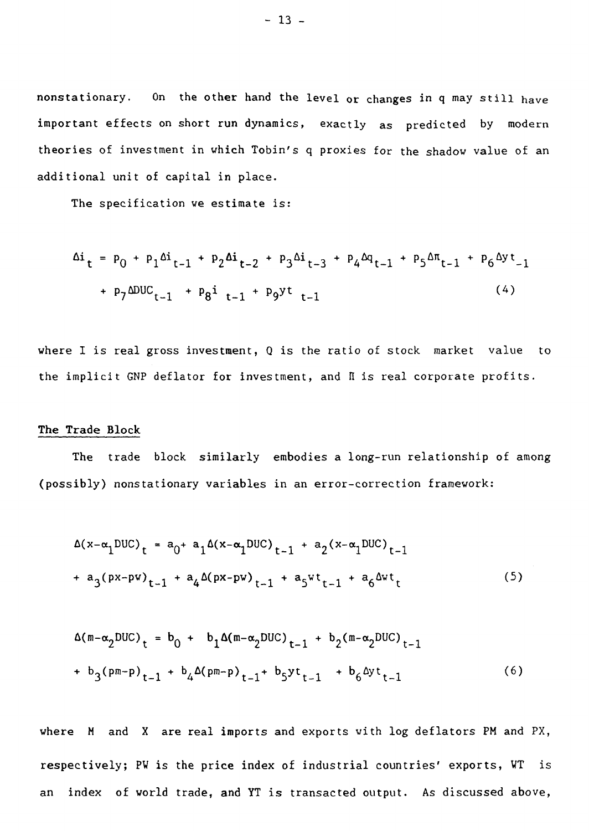nonstationary. On the other hand the level or changes in q may still have important effects on short run dynamics, exactly as predicted by modern theories of investment in which Tobin's q proxies for the shadow value of an additional unit of capital in place.

The specification we estimate is:

$$
\Delta i_{t} = p_{0} + p_{1} \Delta i_{t-1} + p_{2} \Delta i_{t-2} + p_{3} \Delta i_{t-3} + p_{4} \Delta q_{t-1} + p_{5} \Delta \pi_{t-1} + p_{6} \Delta y t_{-1} + p_{7} \Delta DUC_{t-1} + p_{8}i_{t-1} + p_{9}y t_{t-1}
$$
\n(4)

where I is real gross investment,  $Q$  is the ratio of stock market value to the implicit GNP deflator for investment, and II is real corporate profits.

## **The Trade Block**

The trade block similarly embodies a long-run relationship of among (possibly) nonstationary variables in an error-correction framework:

$$
\Delta(x-\alpha_1 DUC)_t = a_0 + a_1 \Delta(x-\alpha_1 DUC)_{t-1} + a_2 (x-\alpha_1 DUC)_{t-1}
$$
  
+  $a_3 (px-pw)_{t-1} + a_4 \Delta(px-pw)_{t-1} + a_5 w t_{t-1} + a_6 \Delta w t_t$  (5)

$$
\Delta(m-\alpha_2 DUC)_{t} = b_0 + b_1 \Delta(m-\alpha_2 DUC)_{t-1} + b_2 (m-\alpha_2 DUC)_{t-1}
$$
  
+ b\_3 (pm-p)\_{t-1} + b\_4 \Delta(pm-p)\_{t-1} + b\_5 y t\_{t-1} + b\_6 \Delta y t\_{t-1} (6)

where M and X are real imports and exports with log deflators PM and PX, respectively; PW is the price index of industrial countries' exports, WT is an index of world trade, **and** YT is transacted output. As discussed above,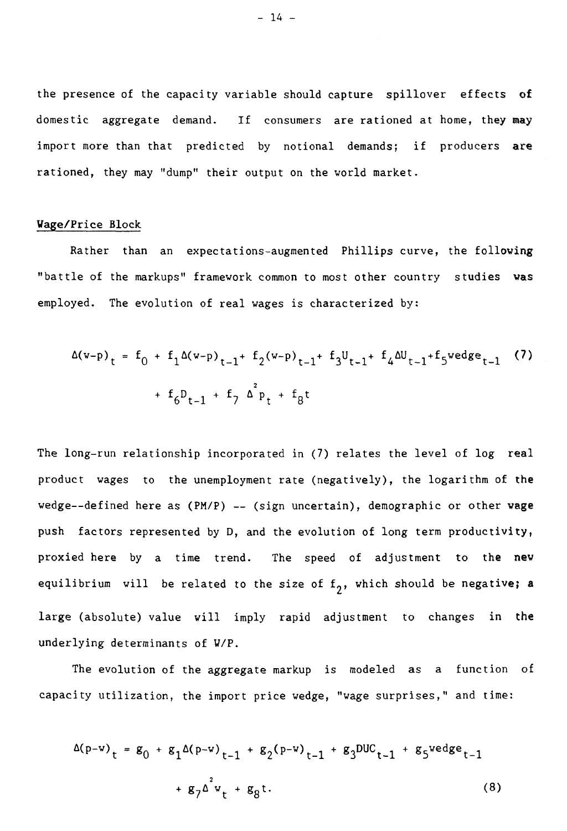the presence of the capacity variable should capture spillover effects of domestic aggregate demand. If consumers are rationed at home, they may import more than that predicted by notional demands; if producers are rationed, they may "dump" their output on the world market.

## Wage/Price Block

Rather than an expectations-augmented Phillips curve, the following "battle of the markups" framework common to most other country studies was employed. The evolution of real wages is characterized by:

$$
\Delta(w-p)_{t} = f_0 + f_1 \Delta(w-p)_{t-1} + f_2(w-p)_{t-1} + f_3 U_{t-1} + f_4 \Delta U_{t-1} + f_5 wedge_{t-1}
$$
 (7)  
+  $f_6 D_{t-1} + f_7 \Delta^2 p_t + f_8 t$ 

The long-run relationship incorporated in (7) relates the level of log real product wages to the unemployment rate (negatively), the logarithm of the wedge--defined here as  $(PM/P)$  -- (sign uncertain), demographic or other wage push factors represented by D, and the evolution of long term productivity, proxied here by a time trend. The speed of adjustment to the new equilibrium will be related to the size of  $f_2$ , which should be negative; a large (absolute) value will imply rapid adjustment to changes in the underlying determinants of W/P.

The evolution of the aggregate markup is modeled as a function of capacity utilization, the import price wedge, "wage surprises," and time:

$$
\Delta(p-w)_t = g_0 + g_1 \Delta(p-w)_{t-1} + g_2(p-w)_{t-1} + g_3 \text{DUC}_{t-1} + g_5 \text{wedge}_{t-1}
$$
  
+  $g_7 \Delta^2 w_t + g_8 t$ . (8)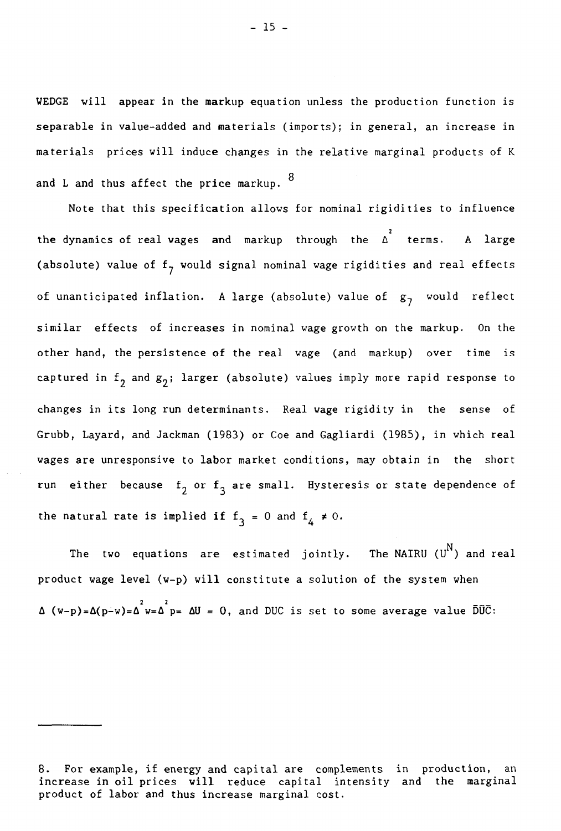WEDGE will appear in the markup equation unless the production function is separable in value-added and materials (imports); in general, an increase in materials prices will induce changes in the relative marginal products of K and L and thus affect the price markup.  $8$ 

Note that this specification allows for nominal rigidities to influence the dynamics of real wages and markup through the  $\Delta^2$  terms. A large (absolute) value of  $f_7$  would signal nominal wage rigidities and real effects of unanticipated inflation. A large (absolute) value of  $g_7$  would reflect similar effects of increases in nominal wage growth on the markup. On the other hand, the persistence of the real wage (and markup) over time is captured in  $f_2$  and  $g_2$ ; larger (absolute) values imply more rapid response to changes in its long run determinants. Real wage rigidity in the sense of Grubb, Layard, and Jackman (1983) or Coe and Gagliardi (1985), in which real wages are unresponsive to labor market conditions, may obtain in the short run either because  $f_2$  or  $f_3$  are small. Hysteresis or state dependence of the natural rate is implied if  $f_3 = 0$  and  $f_4 \neq 0$ .

The two equations are estimated jointly. The<code>NAIRU</code> ( $\texttt{U}^{\text{N}}$ ) and real product wage level (w-p) will constitute a solution of the system when  $\Delta$  (w-p)= $\Delta$ (p-w)= $\Delta^2$ w= $\Delta^2$ p=  $\Delta$ U = 0, and DUC is set to some average value  $\bar{D}\bar{U}\bar{C}$ :

<sup>8.</sup> For example, if energy and capital are complements in production, an increase in oil prices will reduce capital intensity and the marginal product of labor and thus increase marginal cost.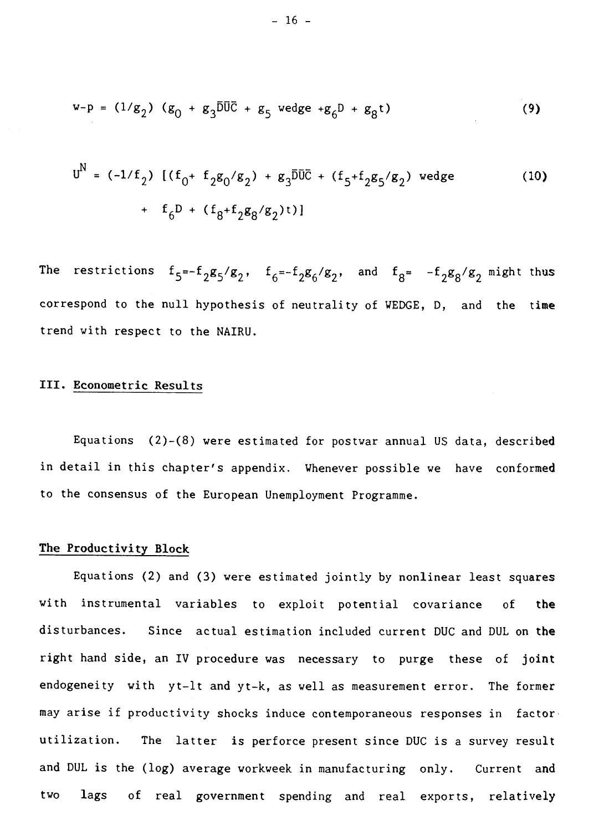$$
w-p = (1/g_2) (g_0 + g_3 \overline{D} \overline{U} \overline{C} + g_5 \text{ wedge } + g_6 D + g_8 t)
$$
 (9)

$$
U^{N} = (-1/f_{2}) \left[ (f_{0} + f_{2}g_{0}/g_{2}) + g_{3}\overline{D}\overline{U}\overline{C} + (f_{5} + f_{2}g_{5}/g_{2}) \text{ wedge} \right]
$$
\n
$$
+ f_{6}D + (f_{8} + f_{2}g_{8}/g_{2})t)
$$
\n(10)

The restrictions  $f_5 = -f_2 g_5 / g_2$ ,  $f_6 = -f_2 g_6 / g_2$ , and  $f_8 = -f_2 g_8 / g_2$  might thus correspond to the null hypothesis of neutrality of WEDGE, D, and the time trend with respect to the NAIRU.

## III. Econometric Results

Equations (2)-(8) were estimated for postwar annual US data, described in detail in this chapter's appendix. Whenever possible we have conformed to the consensus of the European Unemployment Programme.

#### The Productivity Block

Equations (2) and (3) were estimated jointly by nonlinear least squares with instrumental variables to exploit potential covariance of the disturbances. Since actual estimation included current DUC and DUL on the right hand side, an IV procedure was necessary to purge these of joint endogeneity with yt-lt and yt-k, as well as measurement error. The former may arise if productivity shocks induce contemporaneous responses in factorutilization. The latter is perforce present since DUC is a survey result and DUL is the (log) average workweek in manufacturing only. Current and two lags of real government spending and real exports, relatively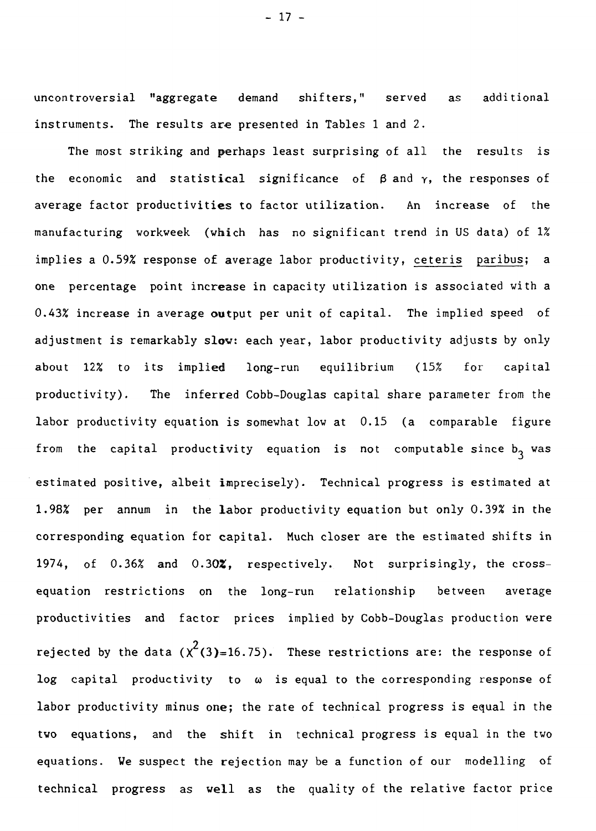uncontroversial "aggregate demand shifters," served as additional instruments. The results are presented in Tables 1 and 2.

The most striking and perhaps least surprising of all the results is the economic and statistical significance of  $\beta$  and  $\gamma$ , the responses of average factor productivities to factor utilization. An increase of the manufacturing workweek (which has no significant trend in US data) of 1% implies a 0.59% response of average labor productivity, ceteris paribus; a one percentage point increase in capacity utilization is associated with a 0.43% increase in average output per unit of capital. The implied speed of adjustment is remarkably slow: each year, labor productivity adjusts by only about 12% to its implied long-run equilibrium (15% for capital productivity). The inferred Cobb-Douglas capital share parameter from the labor productivity equation is somewhat low at 0.15 (a comparable figure from the capital productivity equation is not computable since  $b_3$  was estimated positive, albeit imprecisely). Technical progress is estimated at 1.98% per annum in the labor productivity equation but only 0.39% in the corresponding equation for capital. Much closer are the estimated shifts in 1974, of 0.36% and 0.30Z, respectively. Not surprisingly, the crossequation restrictions on the long-run relationship between average productivities and factor prices implied by Cobb-Douglas production were rejected by the data ( $\chi^2$ (3)=16.75). These restrictions are: the response of log capital productivity to  $\omega$  is equal to the corresponding response of labor productivity minus one; the rate of technical progress is equal in the two equations, and the shift in technical progress is equal in the two equations. We suspect the rejection may be a function of our modelling of technical progress as well as the quality of the relative factor price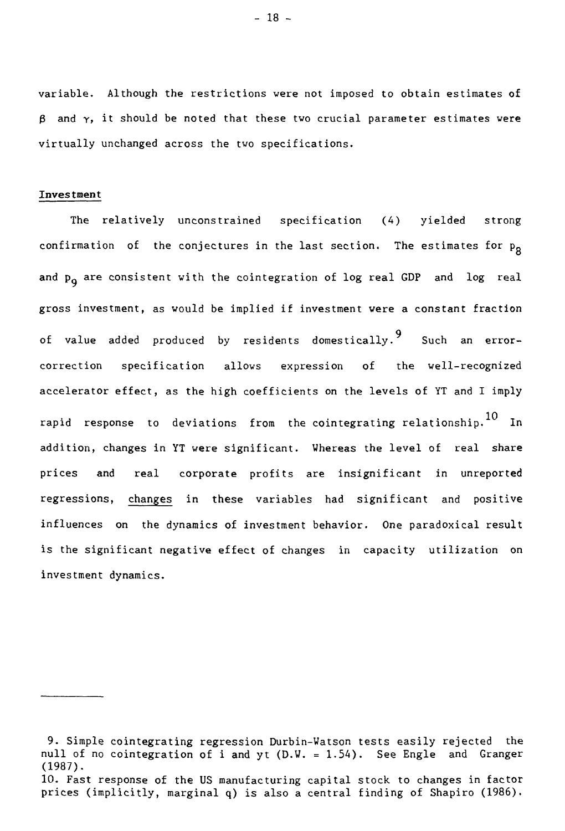variable. Although the restrictions were not imposed to obtain estimates of  $\beta$  and  $\gamma$ , it should be noted that these two crucial parameter estimates were virtually unchanged across the two specifications.

## Investment

The relatively unconstrained specification (4) yielded strong confirmation of the conjectures in the last section. The estimates for  $p_{\text{g}}$ and  $p_{0}$  are consistent with the cointegration of log real GDP and log real gross investment, as would be implied if investment were a constant fraction of value added produced by residents domestically.9 Such an errorcorrection specification allows expression of the well-recognized accelerator effect, as the high coefficients on the levels of YT and I imply rapid response to deviations from the-cointegrating-relationship. $^{10}$  In  $^{\circ}$ addition, changes in YT were significant. Whereas the level of real share prices and real corporate profits are insignificant in unreported regressions, changes in these variables had significant and positive influences on the dynamics of investment behavior. One paradoxical result is the significant negative effect of changes in capacity utilization on investment dynamics.

 $-18 -$ 

<sup>9.</sup> Simple cointegrating regression Durbin-Watson tests easily rejected the null of no cointegration of i and yt  $(D.W. = 1.54)$ . See Engle and Granger (1987).

<sup>10.</sup> Fast response of the US manufacturing capital stock to changes in factor prices (implicitly, marginal q) is also a central finding of Shapiro (1986).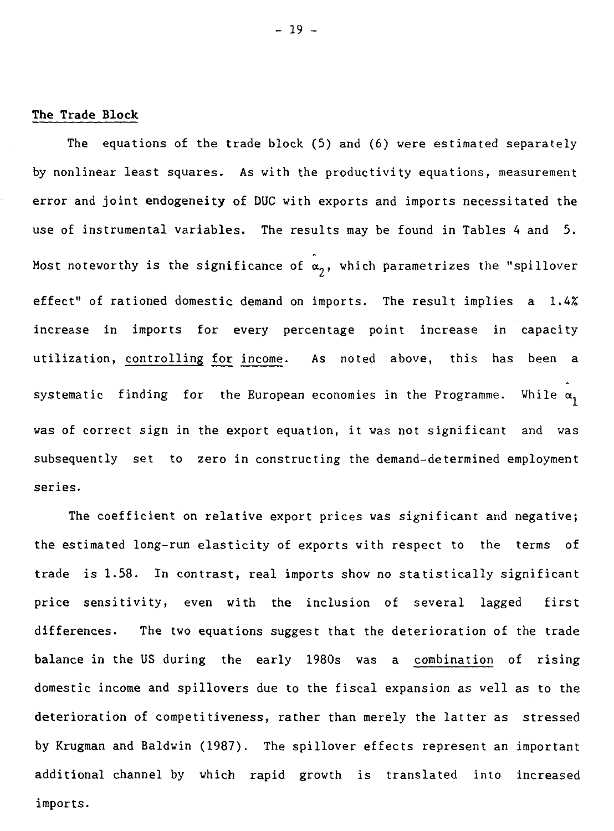#### **The Trade Block**

The equations of the trade block (5) and (6) were estimated separately by nonlinear least squares. As with the productivity equations, measurement error and joint endogeneity of DUC with exports and imports necessitated the use of instrumental variables. The results may be found in Tables 4 and 5. Most noteworthy is the significance of  $\alpha_2$ , which parametrizes the "spillover effect" of rationed domestic demand on imports. The result implies a 1.4% increase in imports for every percentage point increase in capacity utilization, controlling for income. As noted above, this has been a systematic finding for the European economies in the Programme. While  $\alpha_1$ was of correct sign in the export equation, it was not significant and was subsequently set to zero in constructing the demand-determined employment series.

The coefficient on relative export prices was significant and negative; the estimated long-run elasticity of exports with respect to the terms of trade is 1.58. In contrast, real imports show no statistically significant price sensitivity, even with the inclusion of several lagged first differences. The two equations suggest that the deterioration of the trade balance in the US during the early 1980s was a combination of rising domestic income and spillovers due to the fiscal expansion as well as to the deterioration of competitiveness, rather than merely the latter as stressed by Krugman and Baldwin (1987). The spillover effects represent an important additional channel by which rapid growth is translated into increased imports.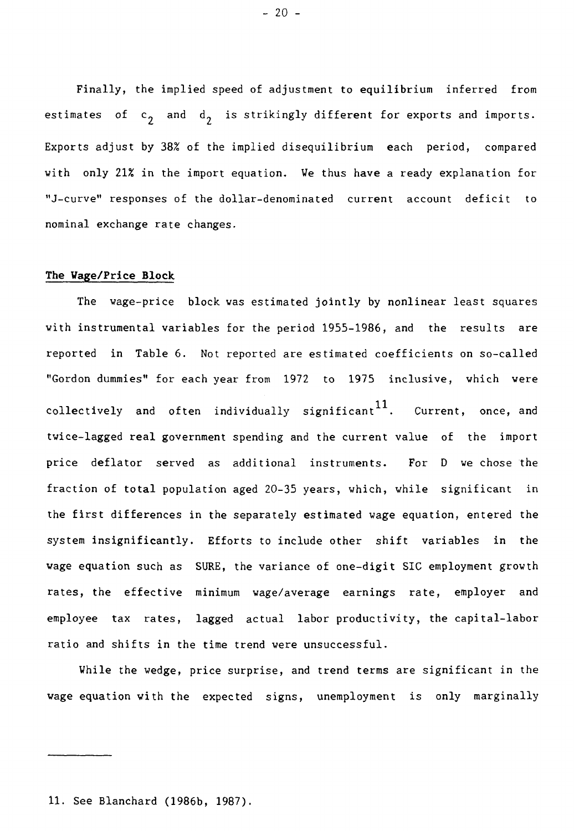Finally, the implied speed of adjustment to equilibrium inferred from estimates of  $c_2$  and  $d_2$  is strikingly different for exports and imports. Exports adjust by 38% of the implied disequilibrium each period, compared with only 21% in the import equation. We thus have a ready explanation for "J-curve" responses of the dollar-denominated current account deficit to nominal exchange rate changes.

## **The Wage/Price Block**

The wage-price block was estimated jointly by nonlinear least squares with instrumental variables for the period 1955-1986, and the results are reported in Table 6. Not reported are estimated coefficients on so-called "Gordon dummies" for each year from 1972 to 1975 inclusive, which were collectively and often individually significant  $11$ . . Current, once, and twice-lagged real government spending and the current value of the import price deflator served as additional instruments. For D we chose the fraction of total population aged 20-35 years, which, while significant in the first differences in the separately estimated wage equation, entered the system insignificantly. Efforts to include other shift variables in the wage equation such as SURE, the variance of one-digit SIC employment growth rates, the effective minimum wage/average earnings rate, employer and employee tax rates, lagged actual labor productivity, the capital-labor ratio and shifts in the time trend were unsuccessful.

While the wedge, price surprise, and trend terms are significant in the wage equation with the expected signs, unemployment is only marginally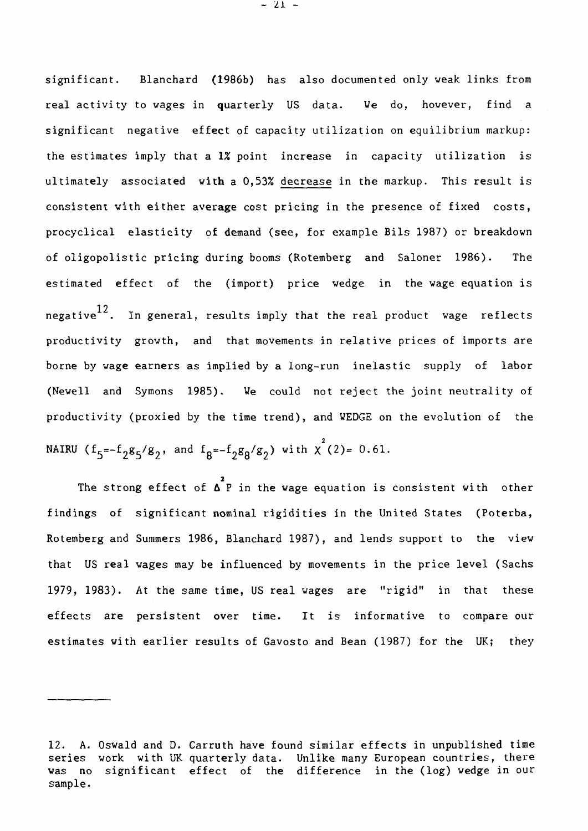significant. Blanchard (1986b) has also documented only weak links from real activity to wages in quarterly US data. We do, however, find a significant negative effect of capacity utilization on equilibrium markup: the estimates imply that a 1% point increase in capacity utilization is ultimately associated with a 0,53% decrease in the markup. This result is consistent with either average cost pricing in the presence of fixed costs, procyclical elasticity of demand (see, for example Bils 1987) or breakdown of oligopolistic pricing during booms (Rotemberg and Saloner 1986). The estimated effect of the (import) price wedge in the wage equation is negative<sup>12</sup>. In general, results imply that the real product wage reflects productivity growth, and that movements in relative prices of imports are borne by wage earners as implied by a long-run inelastic supply of labor (Newell and Symons 1985). We could not reject the joint neutrality of productivity (proxied by the time trend), and WEDGE on the evolution of the NAIRU (f<sub>5</sub>=-f<sub>2</sub>g<sub>5</sub>/g<sub>2</sub>, and f<sub>8</sub>=-f<sub>2</sub>g<sub>8</sub>/g<sub>2</sub>) with  $\chi^2(2)$ = 0.61.

The strong effect of  $\Delta^2$ P in the wage equation is consistent with other findings of significant nominal rigidities in the United States (Poterba, Rotemberg and Summers 1986, Blanchard 1987), and lends support to the view that US real wages may be influenced by movements in the price level (Sachs 1979, 1983). At the same time, US real wages are "rigid" in that these effects are persistent over time. It is informative to compare our estimates with earlier results of Gavosto and Bean (1987) for the UK; they

- 21 -

<sup>12.</sup> A. Oswald and D. Carruth have found similar effects in unpublished time series work with UK quarterly data. Unlike many European countries, there was no significant effect of the difference in the (log) wedge in our sample.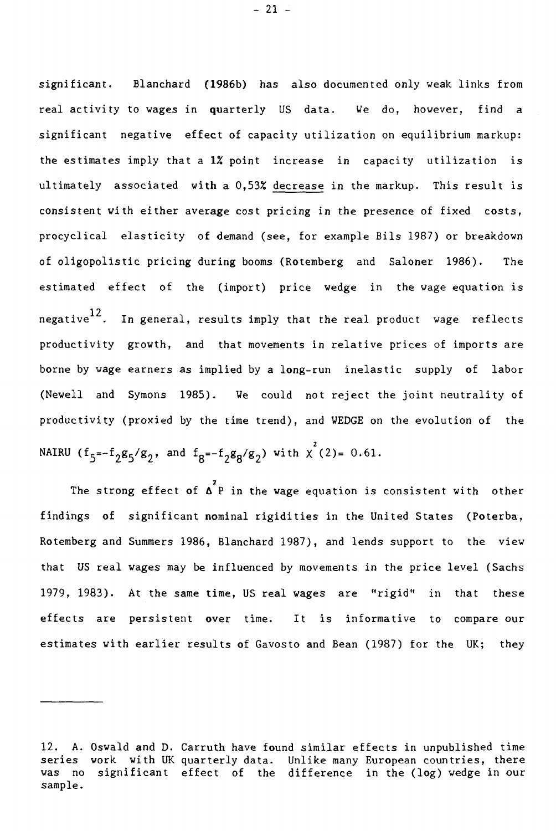significant. Blanchard (1986b) has also documented only weak links from real activity to wages in quarterly US data. We do, however, find a significant negative effect of capacity utilization on equilibrium markup: the estimates imply that a 1X point increase in capacity utilization is ultimately associated with a 0,539 decrease in the markup. This result is consistent with either average cost pricing in the presence of fixed costs, procyclical elasticity of demand (see, for example Bils 1987) or breakdown of oligopolistic pricing during booms (Rotemberg and Saloner 1986). The estimated effect of the (import) price wedge in the wage equation is negative $^{12}$ . In general, results imply that the real product wage reflects productivity growth, and that movements in relative prices of imports are borne by wage earners as implied by a long-run inelastic supply of labor (Newell and Symons 1985). We could not reject the joint neutrality of productivity (proxied by the time trend), and WEDGE on the evolution of the NAIRU ( $f_5=-f_2g_5/g_2$ , and  $f_8=-f_2g_8/g_2$ ) with  $\chi^2(2)=0.61$ .

**2**  The strong effect of **A** P in the wage equation is consistent with other findings of significant nominal rigidities in the United States (Poterba, Rotemberg and Summers 1986, Blanchard 1987), and lends support to the view that US real wages may be influenced by movements in the price level (Sachs 1979, 1983). At the same time, US real wages are "rigid" in that these effects are persistent over time. It is informative to compare our estimates with earlier results of Gavosto and Bean (1987) for the UK; they

- 21 -

<sup>12.</sup> A. Oswald and D. Carruth have found similar effects in unpublished time series work with UK quarterly data. Unlike many European countries, there was no significant effect of the difference in the (log) wedge in our sample.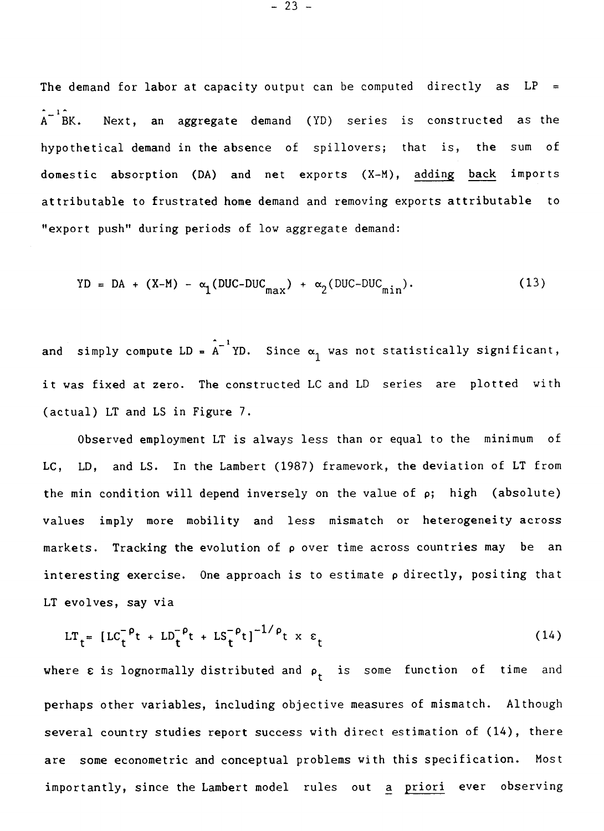The demand for labor at capacity output can be computed directly as  $LP =$  $A^{-1}$  $B$ K. Next, an aggregate demand (YD) series is constructed as the hypothetical demand in the absence of spillovers; that is, the sum of domestic absorption (DA) and net exports (X-M), adding back imports attributable to frustrated home demand and removing exports attributable to "export push" during periods of low aggregate demand:

$$
YD = DA + (X-M) - \alpha_1 (DUC-DUC_{max}) + \alpha_2 (DUC-DUC_{min}). \qquad (13)
$$

and simply compute LD =  $A^{-1}$  YD. Since  $\alpha_1$  was not statistically significant, it was fixed at zero. The constructed LC and LD series are plotted with (actual) LT and LS in Figure 7.

Observed employment LT is always less than or equal to the minimum of LC, LD, and LS. In the Lambert (1987) framework, the deviation of LT from the min condition will depend inversely on the value of  $\rho$ ; high (absolute) values imply more mobility and less mismatch or heterogeneity across markets. Tracking the evolution of  $\rho$  over time across countries may be an interesting exercise. One approach is to estimate p directly, positing that LT evolves, say via

$$
LT_{t} = [LC_{t}^{-\rho}t + LD_{t}^{-\rho}t + LS_{t}^{-\rho}t]^{-1/\rho}t \times \varepsilon_{t}
$$
 (14)

where  $\varepsilon$  is lognormally distributed and  $\rho_t$  is some function of time and perhaps other variables, including objective measures of mismatch. Although several country studies report success with direct estimation of (14), there are some econometric and conceptual problems with this specification. Most importantly, since the Lambert model rules out a priori ever observing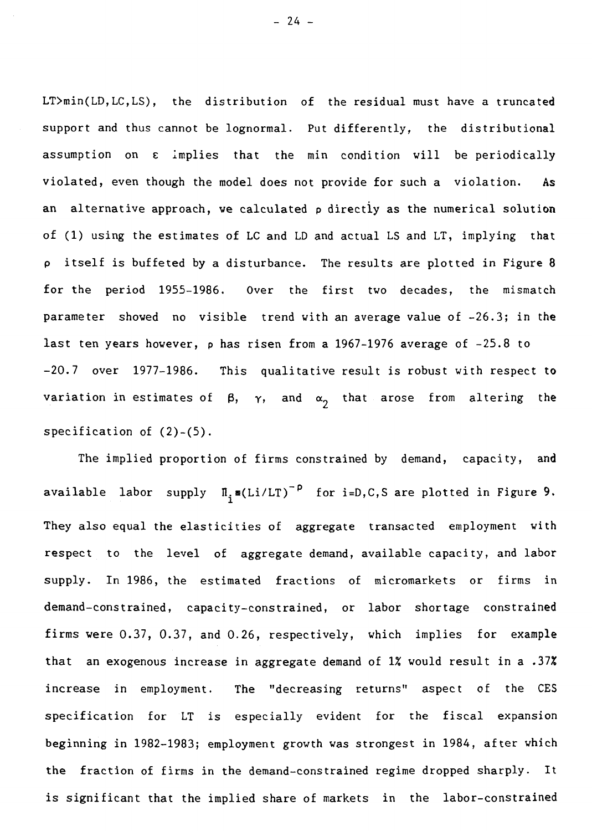LT>min(LD,LC,LS), the distribution of the residual must have a truncated support and thus cannot be lognormal. Put differently, the distributional assumption on c implies that the min condition will be periodically violated, even though the model does not provide for such a violation. As an alternative approach, we calculated  $\rho$  directly as the numerical solution of (1) using the estimates of LC and LD and actual LS and LT, implying that itself is buffeted by a disturbance. The results are plotted in Figure 8 for the period 1955-1986. Over the first two decades, the mismatch parameter showed no visible trend with an average value of -26.3; in the last ten years however, p has risen from a 1967-1976 average of -25.8 to -20.7 over 1977-1986. This qualitative result is robust with respect to variation in estimates of  $\beta$ ,  $\gamma$ , and  $\alpha$ <sub>2</sub> that arose from altering the specification of (2)-(5).

The implied proportion of firms constrained by demand, capacity, and available labor supply  $\Pi_i \equiv (Li/LT)^{-p}$  for i=D,C,S are plotted in Figure 9. They also equal the elasticities of aggregate transacted employment with respect to the level of aggregate demand, available capacity, and labor supply. In 1986, the estimated fractions of micromarkets or firms in demand-constrained, capacity-constrained, or labor shortage constrained firms were 0.37, 0.37, and 0.26, respectively, which implies for example that an exogenous increase in aggregate demand of  $1\%$  would result in a .37% increase in employment. The "decreasing returns" aspect of the CES specification for LT is especially evident for the fiscal expansion beginning in 1982-1983; employment growth was strongest in 1984, after which the fraction of firms in the demand-constrained regime dropped sharply. It is significant that the implied share of markets in the labor-constrained

 $- 24 -$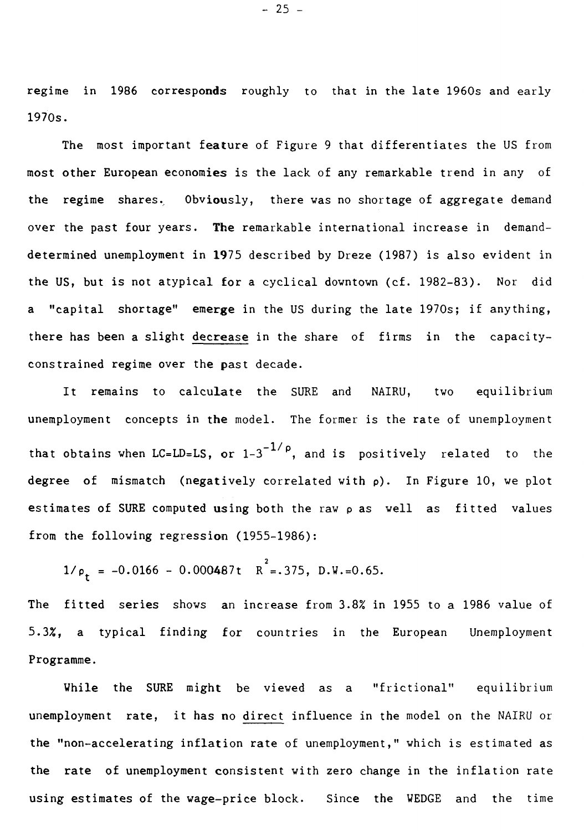regime in 1986 corresponds roughly to that in the late 1960s and early 1970s.

The most important feature of Figure 9 that differentiates the US from most other European economies is the lack of any remarkable trend in any of the regime shares. Obviously, there was no shortage of aggregate demand over the past four years. The remarkable international increase in demanddetermined unemployment in 1975 described by Dreze (1987) is also evident in the US, but is not atypical for a cyclical downtown (cf. 1982-83). Nor did a "capital shortage" emerge in the US during the late 1970s; if anything, there has been a slight decrease in the share of firms in the capacityconstrained regime over the past decade.

It remains to calculate the SURE and NAIRU, two equilibrium unemployment concepts in the model. The former is the rate of unemployment that obtains when LC=LD=LS, or  $1-3^{-1/p}$ , and is positively related to the degree of mismatch (negatively correlated with  $\rho$ ). In Figure 10, we plot estimates of SURE computed using both the raw p as well as fitted values from the following regression (1955-1986):

 $1/\rho_t = -0.0166 - 0.000487t$   $R^2 = .375$ ,  $D.W.=0.65$ .

The fitted series shows an increase from 3.8% in 1955 to a 1986 value of 5.3%, a typical finding for countries in the European Unemployment Programme.

While the SURE might be viewed as a "frictional" equilibrium unemployment rate, it has no direct influence in the model on the NAIRU or the "non-accelerating inflation rate of unemployment," which is estimated as the rate of unemployment consistent with zero change in the inflation rate using estimates of the wage-price block. Since the WEDGE and the time

- 25 -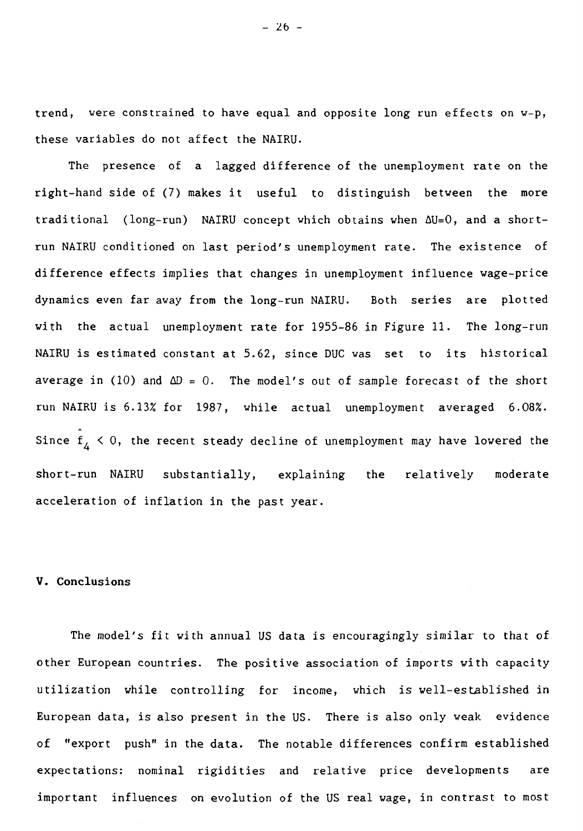trend, were constrained to have equal and opposite long run effects on w-p, these variables do not affect the NAIRU.

The presence of a lagged difference of the unemployment rate on the right-hand side of (7) makes it useful to distinguish between the more traditional (long-run) NAIRU concept which obtains when AU=0, and a shortrun NAIRU conditioned on last period's unemployment rate. The existence of difference effects implies that changes in unemployment influence wage-price dynamics even far away from the long-run NAIRU. Both series are plotted with the actual unemployment rate for 1955-86 in Figure 11. The long-run NAIRU is estimated constant at 5.62, since DUC was set to its historical average in (10) and  $\Delta D = 0$ . The model's out of sample forecast of the short run NAIRU is 6.13% for 1987, while actual unemployment averaged 6.08%. Since  $f_A < 0$ , the recent steady decline of unemployment may have lowered the short-run NAIRU substantially, explaining the relatively moderate acceleration of inflation in the past year.

## V. Conclusions

The model's fit with annual US data is encouragingly similar to that of other European countries. The positive association of imports with capacity utilization while controlling for income, which is well-established in European data, is also present in the US. There is also only weak evidence of "export push" in the data. The notable differences confirm established expectations: nominal rigidities and relative price developments are important influences on evolution of the US real wage, in contrast to most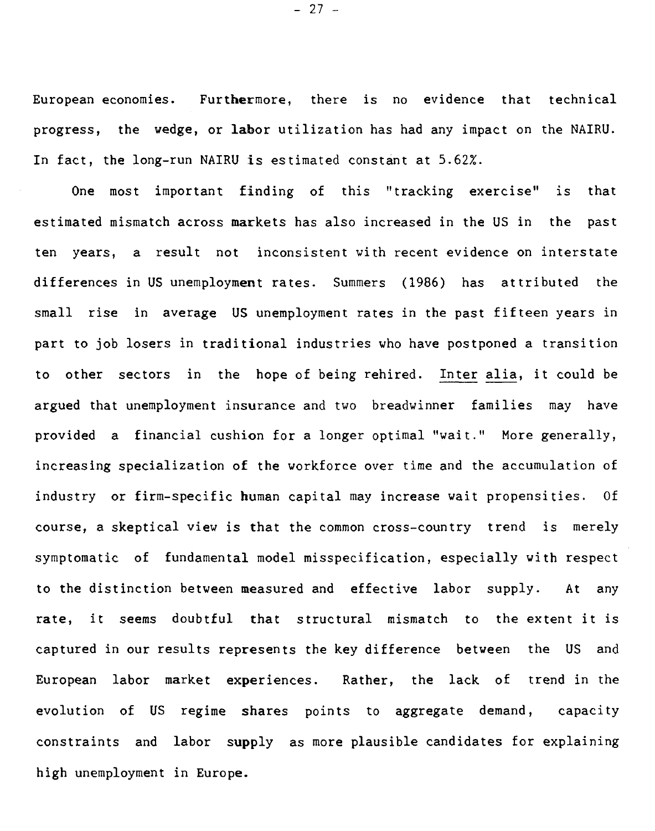European economies. Furthermore, there is no evidence that technical progress, the wedge, or labor utilization has had any impact on the NAIRU. In fact, the long-run NAIRU is estimated constant at 5.62%.

One most important finding of this "tracking exercise" is that estimated mismatch across markets has also increased in the US in the past ten years, a result not inconsistent with recent evidence on interstate differences in US unemployment rates. Summers (1986) has attributed the small rise in average US unemployment rates in the past fifteen years in part to job losers in traditional industries who have postponed a transition to other sectors in the hope of being rehired. Inter alia, it could be argued that unemployment insurance and two breadwinner families may have provided a financial cushion for a longer optimal "wait." More generally, increasing specialization of the workforce over time and the accumulation of industry or firm-specific human capital may increase wait propensities. Of course, a skeptical view is that the common cross-country trend is merely symptomatic of fundamental model misspecification, especially with respect to the distinction between measured and effective labor supply. At any rate, it seems doubtful that structural mismatch to the extent it is captured in our results represents the key difference between the US and European labor market experiences. Rather, the lack of trend in the evolution of US regime shares points to aggregate demand, capacity constraints and labor supply as more plausible candidates for explaining high unemployment in Europe.

 $- 27 -$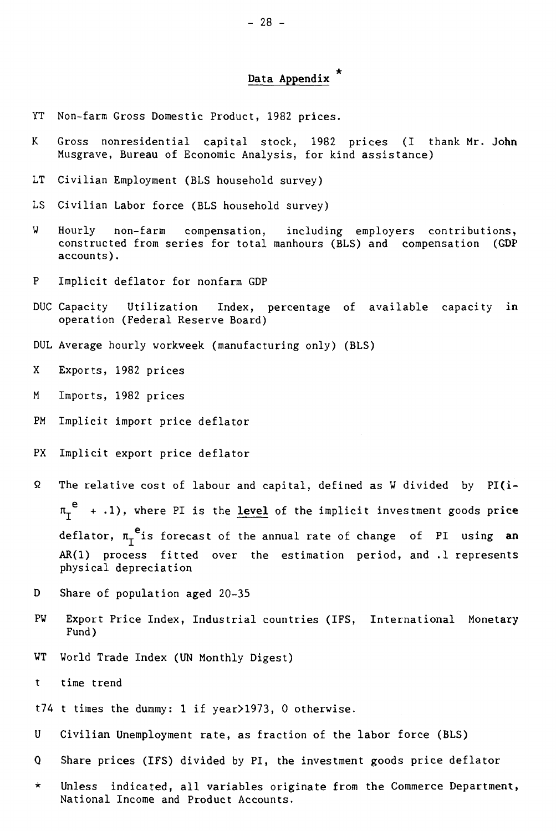## **Data Appendix**

- YT Non-farm Gross Domestic Product, 1982 prices.
- K Gross nonresidential capital stock, 1982 prices (I thank Mr. **John**  Musgrave, Bureau of Economic Analysis, for kind assistance)
- LT Civilian Employment (BLS household survey)
- LS Civilian Labor force (BLS household survey)
- W Hourly non-farm compensation, including employers contributions, constructed from series for total manhours (BLS) and compensation (GDP accounts).
- P Implicit deflator for nonfarm GDP
- DUC Capacity Utilization Index, percentage of available capacity **in**  operation (Federal Reserve Board)
- DUL Average hourly workweek (manufacturing only) (BLS)
- X Exports, 1982 prices
- M Imports, 1982 prices
- PM Implicit import price deflator
- PX Implicit export price deflator
- Q The relative cost of labour and capital, defined as W divided by PI(i- $\pi_I^{\ e}$  +  $\cdot$ 1), where PI is the <u>level</u> of the implicit investment goods price deflator,  $\pi_r$ <sup>e</sup> is forecast of the annual rate of change of PI using an **AR(1)** process fitted over the estimation period, and .1 represents physical depreciation
- D Share of population aged 20-35
- PW Export Price Index, Industrial countries (IFS, International Monetary Fund)
- WT World Trade Index (UN Monthly Digest)
- t time trend
- t74 t times the dummy: 1 if year>1973, 0 otherwise.
- U Civilian Unemployment rate, as fraction of the labor force (BLS)
- Q Share prices (IFS) divided by PI, the investment goods price deflator
- \* Unless indicated, all variables originate from the Commerce Department, National Income and Product Accounts.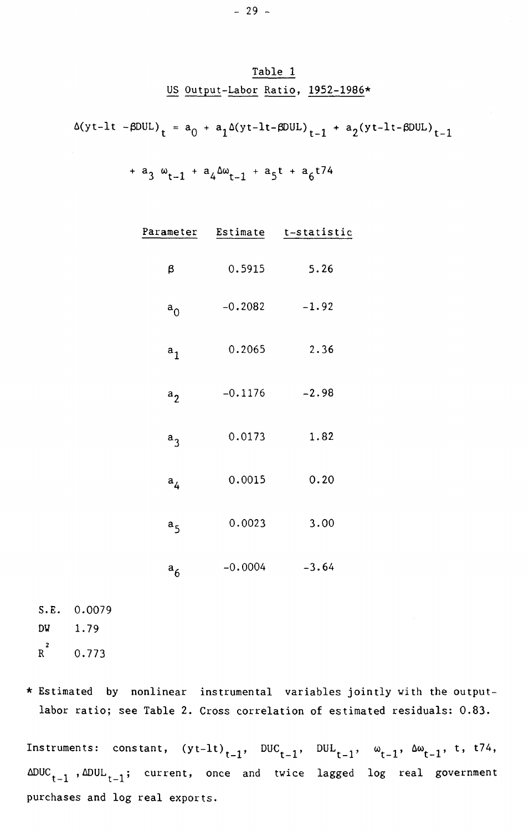## Table 1 US Output-Labor Ratio, 1952-1986\*

 $\Delta(yt-lt -\beta DUL)$ <sub>t</sub> = a<sub>0</sub> + a<sub>1</sub> $\Delta(yt-lt-\beta DUL)$ <sub>t-1</sub> + a<sub>2</sub>(yt-lt- $\beta DUL)$ <sub>t-1</sub>

$$
+ a_3 \omega_{t-1} + a_4 \omega_{t-1} + a_5 t + a_6 t 74
$$

| Parameter      |           | Estimate t-statistic |
|----------------|-----------|----------------------|
| β              | 0.5915    | 5.26                 |
| $a_{0}$        | $-0.2082$ | $-1.92$              |
| a <sub>1</sub> | 0.2065    | 2.36                 |
| $a_2$          | $-0.1176$ | $-2.98$              |
| $a_3$          | 0.0173    | 1.82                 |
| a <sub>4</sub> | 0.0015    | 0.20                 |
| a <sub>5</sub> | 0.0023    | 3.00                 |
| $a_6$          | $-0.0004$ | $-3.64$              |

S.E. 0.0079 DW 1.79  $R^2$ R 0.773

\* Estimated by nonlinear instrumental variables jointly with the outputlabor ratio; see Table 2. Cross correlation of estimated residuals: 0.83.

Instruments: constant,  $(yt-lt)_{t-1}$ ,  $DUC_{t-1}$ ,  $DUL_{t-1}$ ,  $\omega_{t-1}$ ,  $\Delta\omega_{t-1}$ , t, t74,  $\Delta DUC_{t-1}$ ,  $\Delta DUL_{t-1}$ ; current, once and twice lagged log real government purchases and log real exports.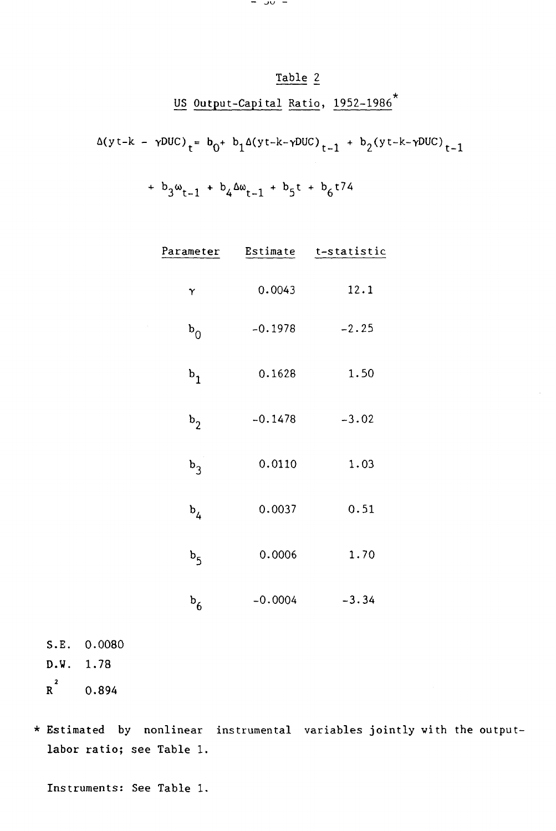## Table 2

# US Output-Capital Ratio, 1952-1986<sup>\*</sup>

## $\Delta(y t - k - \gamma DUC)$ <sub>t</sub>=  $b_0$ +  $b_1 \Delta(y t - k - \gamma DUC)$ <sub>t-1</sub> +  $b_2(y t - k - \gamma DUC)$ <sub>t-1</sub>

## +  $b_3\omega_{t-1}$  +  $b_4\Delta\omega_{t-1}$  +  $b_5t$  +  $b_6t74$

| Parameter      |           | Estimate t-statistic |
|----------------|-----------|----------------------|
| γ              | 0.0043    | 12.1                 |
| $b_{0}$        | $-0.1978$ | $-2.25$              |
| $b_1$          | 0.1628    | 1.50                 |
| $b_2$          | $-0.1478$ | $-3.02$              |
| $b_3$          | 0.0110    | 1.03                 |
| $b_4$          | 0.0037    | 0.51                 |
| b <sub>5</sub> | 0.0006    | 1.70                 |
| $b_6$          | $-0.0004$ | $-3.34$              |

- S.E. 0.0080 D.W. 1.78  $R^2$  0.894
- \* Estimated by nonlinear instrumental variables jointly with the outputlabor ratio; see Table 1.

Instruments: See Table 1.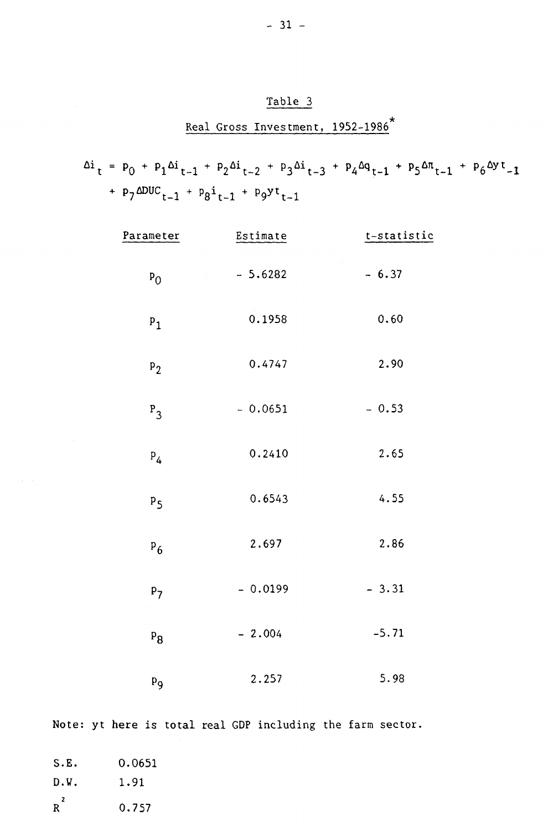## Table 3

## Real Gross Investment, 1952–1986<sup>\*</sup>

 $\Delta i_t = p_0 + p_1 \Delta i_{t-1} + p_2 \Delta i_{t-2} + p_3 \Delta i_{t-3} + p_4 \Delta q_{t-1} + p_5 \Delta n_{t-1} + p_6 \Delta y t_{-1}$ +  $p_7 \Delta DUC_{t-1}$  +  $p_8i_{t-1}$  +  $p_9y_i_{t-1}$ 

| Parameter      | Estimate  | t-statistic          |
|----------------|-----------|----------------------|
| $P_{0}$        | $-5.6282$ | $\bar{z}$<br>$-6.37$ |
| $P_1$          | 0.1958    | 0.60                 |
| P <sub>2</sub> | 0.4747    | 2.90                 |
| $P_3$          | $-0.0651$ | $-0.53$              |
| $P_4$          | 0.2410    | 2.65                 |
| $P_5$          | 0.6543    | 4.55                 |
| $P_6$          | 2.697     | 2.86                 |
| P <sub>7</sub> | $-0.0199$ | $-3.31$              |
| $P_{8}$        | $-2.004$  | $-5.71$              |
| $P_{9}$        | 2.257     | 5.98                 |

Note: yt here is total real GDP including the farm sector.

| S.E.   | 0.0651 |
|--------|--------|
| D.W.   | 1.91   |
| 2<br>R | 0.757  |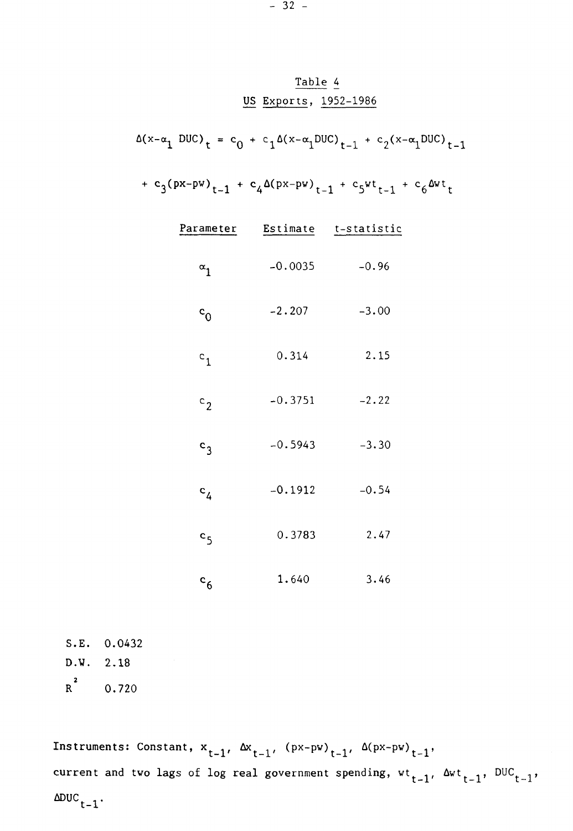## Table 4 US Exports, 1952-1986

 $\Delta(x-\alpha_1 \text{ DUC})_t = c_0 + c_1\Delta(x-\alpha_1\text{ DUC})_{t-1} + c_2(x-\alpha_1\text{ DUC})_{t-1}$ 

+ c<sub>3</sub>(px-pw)<sub>t-1</sub> + c<sub>4</sub> $\Delta$ (px-pw)<sub>t-1</sub> + c<sub>5</sub>wt<sub>t-1</sub> + c<sub>6</sub> $\Delta$ wt<sub>t</sub>

| Parameter        |           | Estimate t-statistic |
|------------------|-----------|----------------------|
| $\alpha_1$       | $-0.0035$ | $-0.96$              |
| $c_{\rm 0}$      | $-2.207$  | $-3.00$              |
| $c_{1}$          | 0.314     | 2.15                 |
| $\mathbf{c}_2$   | $-0.3751$ | $-2.22$              |
| $c_3$            | $-0.5943$ | $-3.30$              |
| c <sub>4</sub>   | $-0.1912$ | $-0.54$              |
| c <sub>5</sub>   | 0.3783    | 2.47                 |
| $\mathbf{c}_{6}$ | 1.640     | 3.46                 |

S.E. 0.0432 D.W. 2.18  $R^2$  0.720

Instruments: Constant,  $x_{t-1}$ ,  $\Delta x_{t-1}$ ,  $(px-pw)_{t-1}$ ,  $\Delta (px-pw)_{t-1}$ , current and two lags of log real government spending,  $wt_{t-1}$ ,  $\Delta wt_{t-1}$ ,  $DUC_{t-1}$ ,  $\Delta DUC_{t-1}$ .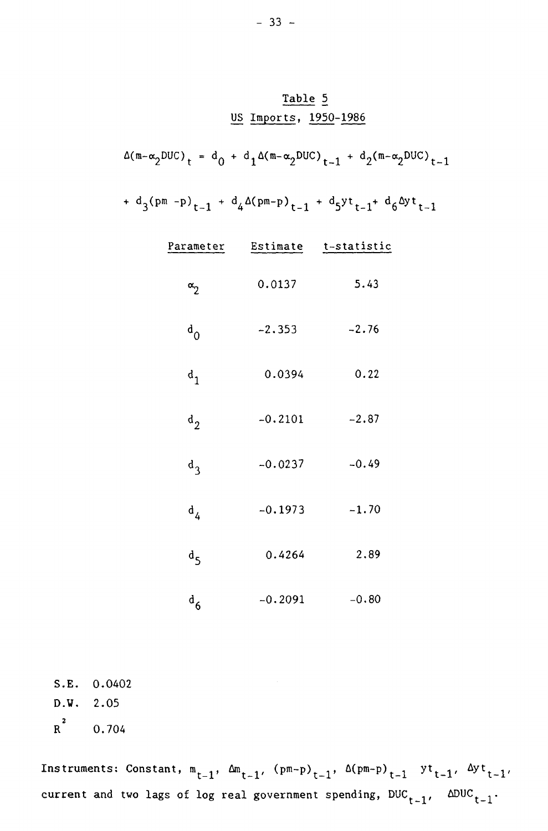## Table 5 US Imports, 1950-1986

 $\Delta(m-\alpha_2DUC)_{t} = d_0 + d_1\Delta(m-\alpha_2DUC)_{t-1} + d_2(m-\alpha_2DUC)_{t-1}$ 

+  $d_3(pm -p)_{t-1}$  +  $d_4\Delta(pm-p)_{t-1}$  +  $d_5yt_{t-1}$ +  $d_6\Delta yt_{t-1}$ 

| Parameter        |           | Estimate t-statistic |
|------------------|-----------|----------------------|
| $\alpha_2$       | 0.0137    | 5.43                 |
| $d_0$            | $-2.353$  | $-2.76$              |
| $\mathbf{d}_1$   | 0.0394    | 0.22                 |
| $d_2$            | $-0.2101$ | $-2.87$              |
| $d_3$            | $-0.0237$ | $-0.49$              |
| $\mathbf{d}_{4}$ | $-0.1973$ | $-1.70$              |
| $d_{5}$          | 0.4264    | 2.89                 |
| $\mathbf{d}_6$   | $-0.2091$ | $-0.80$              |

S.E. 0.0402 **D.W.** 2.05  $R^2$ **R** 0.704

Instruments: Constant,  $m_{t-1}$ ,  $\Delta m_{t-1}$ ,  $(pm-p)_{t-1}$ ,  $\Delta (pm-p)_{t-1}$  yt $_{t-1}$ ,  $\Delta y$ t<sub>t-1</sub>, current and two lags of log real government spending,  $DUC_{t-1}$ ,  $\Delta DUC_{t-1}$ .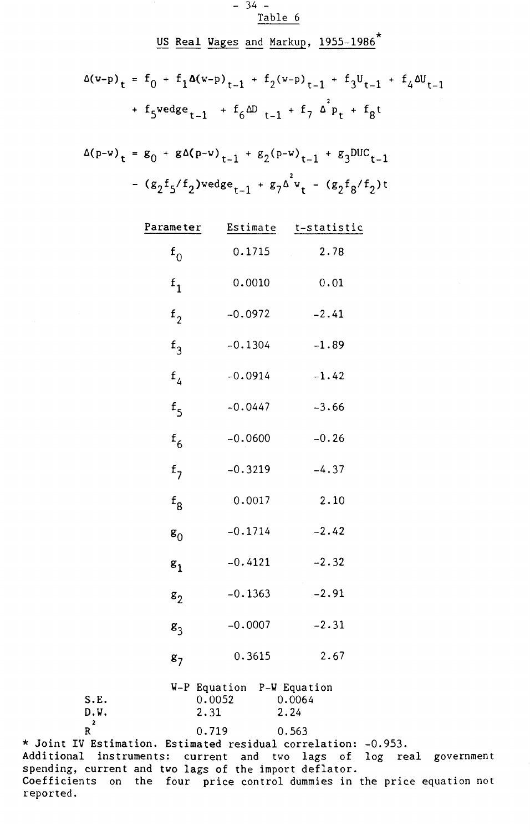$-34 -$ Table 6

US Real Wages and Markup, 1955-1986\*

$$
\Delta(w-p)_{t} = f_0 + f_1 \Delta(w-p)_{t-1} + f_2(w-p)_{t-1} + f_3 U_{t-1} + f_4 \Delta U_{t-1}
$$
  
+  $f_5$  wedge<sub>t-1</sub> +  $f_6$ ΔD<sub>t-1</sub> +  $f_7$  Δ<sup>2</sup><sub>p<sub>t</sub></sub> +  $f_8$ t

$$
\Delta(p-w)_t = g_0 + g \Delta(p-w)_{t-1} + g_2(p-w)_{t-1} + g_3 DUC_{t-1}
$$
  
-  $(g_2 f_5 / f_2) \text{wedge}_{t-1} + g_7 \Delta^2 v_t - (g_2 f_8 / f_2) t$ 

|                   | Parameter      | Estimate               | t-statistic                    |
|-------------------|----------------|------------------------|--------------------------------|
|                   | $\mathbf{f}_0$ | 0.1715                 | 2.78                           |
|                   | $f_1$          | 0.0010                 | 0.01                           |
|                   | f <sub>2</sub> | $-0.0972$              | $-2.41$                        |
|                   | $f_3$          | $-0.1304$              | $-1.89$                        |
|                   | f <sub>4</sub> | $-0.0914$              | $-1.42$                        |
|                   | f <sub>5</sub> | $-0.0447$              | $-3.66$                        |
|                   | $f_{6}$        | $-0.0600$              | $-0.26$                        |
|                   | f <sub>7</sub> | $-0.3219$              | $-4.37$                        |
|                   | $f_{\rm 8}$    | 0.0017                 | 2.10                           |
|                   | $\mathbf{g}_0$ | $-0.1714$              | $-2.42$                        |
|                   | $\mathbf{g}_1$ | $-0.4121$              | $-2.32$                        |
|                   | $\mathbf{g}_2$ | $-0.1363$              | $-2.91$                        |
|                   | $g_3$          | $-0.0007$              | $-2.31$                        |
|                   | g <sub>7</sub> | 0.3615                 | 2.67                           |
| S.E.<br>D.W.<br>2 | 2.31           | W-P Equation<br>0.0052 | P-W Equation<br>0.0064<br>2.24 |
| R                 |                | 0.719                  | 0.563                          |

 $R^2$ \* Joint IV Estimation. Estimated residual correlation: -0.953. Additional instruments: current and two lags of log real government spending, current and two lags of the import deflator. Coefficients on the four price control dummies in the price equation not reported.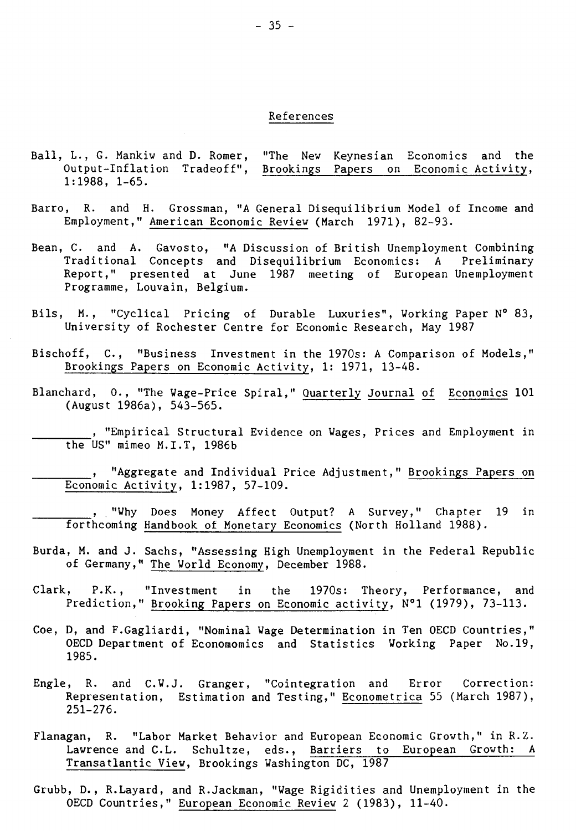## References

- Ball, L., G. Mankiw and D. Romer, "The New Keynesian Economics and the Output-Inflation Tradeoff", Brookings Papers on Economic Activity, 1:1988, 1-65.
- Barro, R. and H. Grossman, "A General Disequilibrium Model of Income and Employment," American Economic Review (March 1971), 82-93.
- Bean, C. and A. Gavosto, "A Discussion of British Unemployment Combining Traditional Concepts and Disequilibrium Economics: A Preliminary Report," presented at June 1987 meeting of European Unemployment Programme, Louvain, Belgium.
- Bils, M., "Cyclical Pricing of Durable Luxuries", Working Paper N° 83, University of Rochester Centre for Economic Research, May 1987
- Bischoff, C., "Business Investment in the 1970s: A Comparison of Models," Brookings Papers on Economic Activity, 1: 1971, 13-48.
- Blanchard, 0., "The Wage-Price Spiral," Quarterly Journal of Economics 101 (August 1986a), 543-565.
	- , "Empirical Structural Evidence on Wages, Prices and Employment in the US" mimeo M.I.T, 1986b
- "Aggregate and Individual Price Adjustment," Brookings Papers on Economic Activity, 1:1987, 57-109.
	- , "Why Does Money Affect Output? A Survey," Chapter 19 in forthcoming Handbook of Monetary Economics (North Holland 1988).
- Burda, M. and J. Sachs, "Assessing High Unemployment in the Federal Republic of Germany," The World Economy, December 1988.
- Clark, P.K., "Investment in the 1970s: Theory, Performance, and Prediction," Brooking Papers on Economic activity, N°1 (1979), 73-113.
- Coe, D, and F.Gagliardi, "Nominal Wage Determination in Ten OECD Countries," OECD Department of Economomics and Statistics Working Paper No.19, 1985.
- Engle, R. and C.W.J. Granger, "Cointegration and Error Correction: Representation, Estimation and Testing," Econometrica 55 (March 1987), 251-276.
- Flanagan, R. "Labor Market Behavior and European Economic Growth," in R.Z. Lawrence and C.L. Schultze, eds., Barriers to European Growth: A Transatlantic View, Brookings Washington DC, 1987
- Grubb, D., R.Layard, and R.Jackman, "Wage Rigidities and Unemployment in the OECD Countries," European Economic Review 2 (1983), 11-40.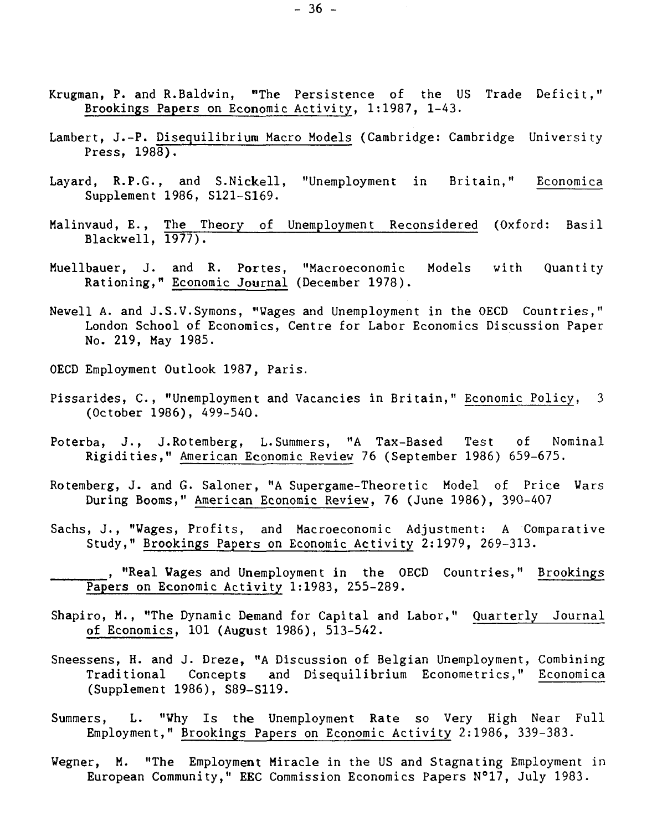- Krugman, P. and R.Baldwin, "The Persistence of the US Trade Deficit," Brookings Papers on Economic Activity, 1:1987, 1-43.
- Lambert, J.-P. Disequilibrium Macro Models (Cambridge: Cambridge University Press,  $198\overline{8}$ .
- Layard, R.P.G., and S.Nickell, "Unemployment in Britain," Economica Supplement 1986, S121-S169.
- Malinvaud, E., The Theory of Unemployment Reconsidered (Oxford: Basil Blackwell, 1977).
- Muellbauer, J. and R. Portes, "Macroeconomic Models with Quantity Rationing," Economic Journal (December 1978).
- Newell A. and J.S.V.Symons, "Wages and Unemployment in the OECD Countries," London School of Economics, Centre for Labor Economics Discussion Paper No. 219, May 1985.
- OECD Employment Outlook 1987, Paris.
- Pissarides, C., "Unemployment and Vacancies in Britain," Economic Policy, 3 (October 1986), 499-540.
- Poterba, J., J.Rotemberg, L.Summers, "A Tax-Based Test of Nominal Rigidities," American Economic Review 76 (September 1986) 659-675.
- Rotemberg, J. and G. Saloner, "A Supergame-Theoretic Model of Price Wars During Booms," American Economic Review, 76 (June 1986), 390-407
- Sachs, J., "Wages, Profits, and Macroeconomic Adjustment: A Comparative Study," Brookings Papers on Economic Activity 2:1979, 269-313.

, "Real Wages and Unemployment in the OECD Countries," Brookings Papers on Economic Activity 1:1983, 255-289.

- Shapiro, M., "The Dynamic Demand for Capital and Labor," Quarterly Journal of Economics, 101 (August 1986), 513-542.
- Sneessens, H. and J. Dreze, "A Discussion of Belgian Unemployment, Combining Traditional Concepts and Disequilibrium Econometrics," Economica (Supplement 1986), S89-S119.
- Summers, L. "Why Is the Unemployment Rate so Very High Near Full Employment," Brookings Papers on Economic Activity 2:1986, 339-383.
- Wegner, M. "The Employment Miracle in the US and Stagnating Employment in European Community," EEC Commission Economics Papers N°17, July 1983.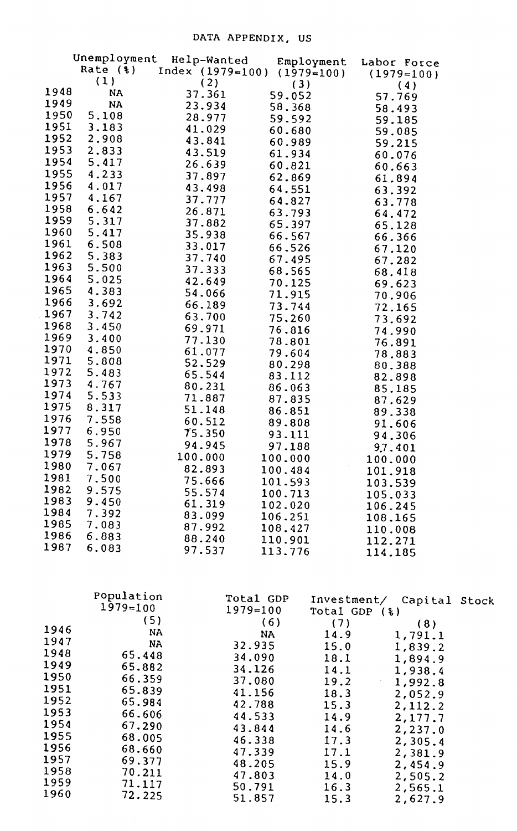|      | Unemployment            | Help-Wanted |                             | Employment  | Labor Force      |  |
|------|-------------------------|-------------|-----------------------------|-------------|------------------|--|
|      | Rate $(*)$              |             | Index (1979=100) (1979=100) |             | $(1979=100)$     |  |
|      | (1)                     | (2)         | (3)                         |             | (4)              |  |
| 1948 | <b>NA</b>               | 37.361      | 59.052                      |             | 57.769           |  |
| 1949 | <b>NA</b>               | 23.934      | 58.368                      |             | 58.493           |  |
| 1950 | 5.108                   | 28.977      | 59.592                      |             | 59.185           |  |
| 1951 | 3.183                   | 41.029      | 60.680                      |             | 59.085           |  |
| 1952 | 2.908                   | 43.841      | 60.989                      |             | 59.215           |  |
| 1953 | 2.833                   | 43.519      | 61.934                      |             | 60.076           |  |
| 1954 | 5.417                   | 26.639      | 60.821                      |             | 60.663           |  |
| 1955 | 4.233                   | 37.897      | 62.869                      |             | 61.894           |  |
| 1956 | 4.017                   | 43.498      | 64.551                      |             | 63.392           |  |
| 1957 | 4.167                   | 37.777      | 64.827                      |             | 63.778           |  |
| 1958 | 6.642                   | 26.871      | 63.793                      |             | 64.472           |  |
| 1959 | 5.317                   | 37.882      | 65.397                      |             | 65.128           |  |
| 1960 | 5.417                   | 35.938      | 66.567                      |             | 66.366           |  |
| 1961 | 6.508                   | 33.017      | 66.526                      |             | 67.120           |  |
| 1962 | 5.383                   | 37.740      | 67.495                      |             | 67.282           |  |
| 1963 | 5.500                   | 37.333      | 68.565                      |             | 68.418           |  |
| 1964 | 5.025                   | 42.649      | 70.125                      |             |                  |  |
| 1965 | 4.383                   | 54.066      | 71.915                      |             | 69.623<br>70.906 |  |
| 1966 | 3.692                   | 66.189      | 73.744                      |             |                  |  |
| 1967 | 3.742                   | 63.700      | 75.260                      |             | 72.165           |  |
| 1968 | 3.450                   | 69.971      | 76.816                      |             | 73.692           |  |
| 1969 | 3.400                   | 77.130      | 78.801                      |             | 74.990           |  |
| 1970 | 4.850                   | 61.077      | 79.604                      |             | 76.891           |  |
| 1971 | 5.808                   | 52.529      | 80.298                      |             | 78.883           |  |
| 1972 | 5.483                   | 65.544      | 83.112                      |             | 80.388           |  |
| 1973 | 4.767                   | 80.231      | 86.063                      |             | 82.898           |  |
| 1974 | 5.533                   | 71.887      | 87.835                      |             | 85.185           |  |
| 1975 | 8.317                   | 51.148      | 86.851                      |             | 87.629           |  |
| 1976 | 7.558                   | 60.512      | 89.808                      |             | 89.338           |  |
| 1977 | 6.950                   | 75.350      | 93.111                      |             | 91,606           |  |
| 1978 | 5.967                   | 94.945      |                             |             | 94.306           |  |
| 1979 | 5.758                   | 100.000     | 97.188                      |             | 97.401           |  |
| 1980 | 7.067                   | 82.893      | 100.000                     |             | 100.000          |  |
| 1981 | 7.500                   | 75.666      | 100.484                     |             | 101.918          |  |
| 1982 | 9.575                   | 55.574      | 101.593                     |             | 103.539          |  |
| 1983 | 9.450                   | 61.319      | 100.713                     |             | 105.033          |  |
| 1984 | 7.392                   | 83.099      | 102.020<br>106.251          |             | 106.245          |  |
| 1985 | 7.083                   | 87.992      |                             |             | 108.165          |  |
| 1986 | 6.883                   | 88.240      | 108.427<br>110.901          |             | 110.008          |  |
| 1987 | 6.083                   | 97.537      |                             |             | 112.271          |  |
|      |                         |             | 113.776                     |             | 114.185          |  |
|      |                         |             |                             |             |                  |  |
|      | Population<br>1070, 100 |             | Total GDP                   | Investment/ | Capital Stock    |  |

|      |              |              | 111100301101107 | capital Stock |  |
|------|--------------|--------------|-----------------|---------------|--|
|      | $1979 = 100$ | $1979 = 100$ | Total GDP (%)   |               |  |
|      | (5)          | (6)          | (7)             | (8)           |  |
| 1946 | <b>NA</b>    | <b>NA</b>    | 14.9            | 1,791.1       |  |
| 1947 | <b>NA</b>    | 32.935       | 15.0            | 1,839.2       |  |
| 1948 | 65.448       | 34.090       | 18.1            | 1,894.9       |  |
| 1949 | 65.882       | 34.126       | 14.1            | 1,938.4       |  |
| 1950 | 66.359       | 37.080       | 19.2            | 1,992.8       |  |
| 1951 | 65.839       | 41.156       | 18.3            |               |  |
| 1952 | 65.984       | 42.788       |                 | 2,052.9       |  |
| 1953 | 66.606       | 44.533       | 15.3            | 2,112.2       |  |
| 1954 | 67.290       |              | 14.9            | 2,177.7       |  |
| 1955 | 68.005       | 43.844       | 14.6            | 2,237.0       |  |
| 1956 |              | 46.338       | 17.3            | 2,305.4       |  |
| 1957 | 68.660       | 47.339       | 17.1            | 2,381.9       |  |
|      | 69.377       | 48.205       | 15.9            | 2,454.9       |  |
| 1958 | 70.211       | 47.803       | 14.0            | 2,505.2       |  |
| 1959 | 71.117       | 50.791       | 16.3            | 2,565.1       |  |
| 1960 | 72.225       | 51.857       | 15.3            | 2,627.9       |  |
|      |              |              |                 |               |  |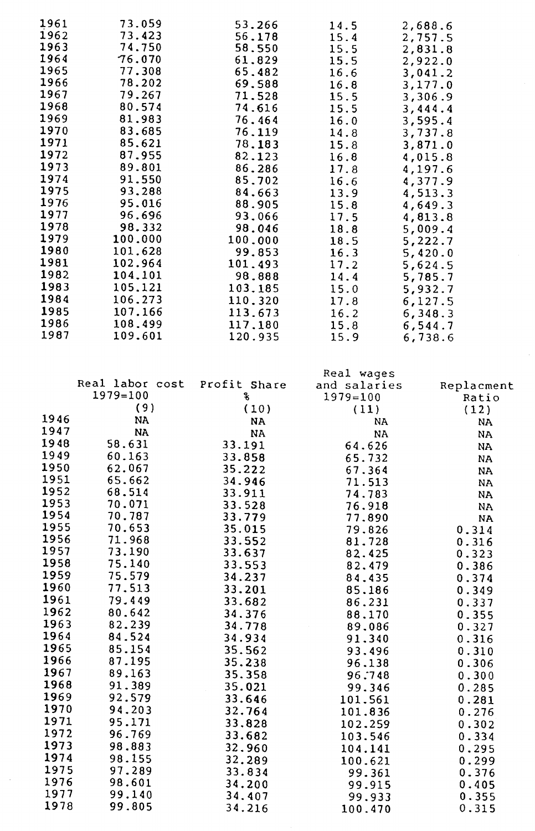| 1961 | 73.059  | 53.266  | 14.5 | 2,688.6 |
|------|---------|---------|------|---------|
| 1962 | 73.423  | 56.178  | 15.4 | 2,757.5 |
| 1963 | 74.750  | 58.550  | 15.5 | 2,831.8 |
| 1964 | 76.070  | 61.829  | 15.5 | 2,922.0 |
| 1965 | 77.308  | 65.482  | 16.6 | 3,041.2 |
| 1966 | 78.202  | 69.588  | 16.8 | 3,177.0 |
| 1967 | 79.267  | 71.528  | 15.5 | 3,306.9 |
| 1968 | 80.574  | 74.616  | 15.5 | 3,444.4 |
| 1969 | 81.983  | 76.464  | 16.0 | 3,595.4 |
| 1970 | 83.685  | 76.119  | 14.8 | 3,737.8 |
| 1971 | 85.621  | 78.183  | 15.8 | 3,871.0 |
| 1972 | 87.955  | 82.123  | 16.8 | 4,015.8 |
| 1973 | 89.801  | 86.286  | 17.8 | 4,197.6 |
| 1974 | 91.550  | 85.702  | 16.6 | 4,377.9 |
| 1975 | 93.288  | 84.663  | 13.9 | 4,513.3 |
| 1976 | 95.016  | 88.905  | 15.8 | 4,649.3 |
| 1977 | 96.696  | 93.066  | 17.5 | 4,813.8 |
| 1978 | 98.332  | 98.046  | 18.8 | 5,009.4 |
| 1979 | 100.000 | 100.000 | 18.5 | 5,222.7 |
| 1980 | 101.628 | 99.853  | 16.3 | 5,420.0 |
| 1981 | 102.964 | 101.493 | 17.2 | 5,624.5 |
| 1982 | 104.101 | 98.888  | 14.4 | 5,785.7 |
| 1983 | 105.121 | 103.185 | 15.0 | 5,932.7 |
| 1984 | 106.273 | 110.320 | 17.8 | 6,127.5 |
| 1985 | 107.166 | 113.673 | 16.2 | 6,348.3 |
| 1986 | 108.499 | 117.180 | 15.8 | 6,544.7 |
| 1987 | 109.601 | 120.935 | 15.9 | 6,738.6 |
|      |         |         |      |         |

|      |                 |              | Real wages   |               |
|------|-----------------|--------------|--------------|---------------|
|      | Real labor cost | Profit Share | and salaries | Replacment    |
|      | $1979 = 100$    | s.           | $1979 = 100$ | Ratio         |
|      | (9)             | (10)         | (11)         | (12)          |
| 1946 | <b>NA</b>       | <b>NA</b>    | <b>NA</b>    | <b>NA</b>     |
| 1947 | <b>NA</b>       | <b>NA</b>    | <b>NA</b>    | <b>NA</b>     |
| 1948 | 58.631          | 33.191       | 64.626       | <b>NA</b>     |
| 1949 | 60.163          | 33.858       | 65.732       | <b>NA</b>     |
| 1950 | 62.067          | 35.222       | 67.364       | <b>NA</b>     |
| 1951 | 65.662          | 34.946       | 71.513       | $\mathbf{NA}$ |
| 1952 | 68.514          | 33.911       | 74.783       | <b>NA</b>     |
| 1953 | 70.071          | 33.528       | 76.918       | <b>NA</b>     |
| 1954 | 70.787          | 33.779       | 77.890       | <b>NA</b>     |
| 1955 | 70.653          | 35.015       | 79.826       | 0.314         |
| 1956 | 71.968          | 33.552       | 81.728       | 0.316         |
| 1957 | 73.190          | 33.637       | 82.425       | 0.323         |
| 1958 | 75.140          | 33.553       | 82.479       | 0.386         |
| 1959 | 75.579          | 34.237       | 84.435       | 0.374         |
| 1960 | 77.513          | 33.201       | 85.186       | 0.349         |
| 1961 | 79.449          | 33.682       | 86.231       | 0.337         |
| 1962 | 80.642          | 34.376       | 88.170       | 0.355         |
| 1963 | 82.239          | 34.778       | 89.086       | 0.327         |
| 1964 | 84.524          | 34.934       | 91.340       | 0.316         |
| 1965 | 85.154          | 35.562       | 93.496       | 0.310         |
| 1966 | 87.195          | 35.238       | 96.138       | 0.306         |
| 1967 | 89.163          | 35.358       | 96.748       | 0.300         |
| 1968 | 91.389          | 35.021       | 99.346       | 0.285         |
| 1969 | 92.579          | 33.646       | 101.561      | 0.281         |
| 1970 | 94.203          | 32.764       | 101.836      | 0.276         |
| 1971 | 95.171          | 33.828       | 102.259      | 0.302         |
| 1972 | 96.769          | 33.682       | 103.546      | 0.334         |
| 1973 | 98.883          | 32.960       | 104.141      | 0.295         |
| 1974 | 98.155          | 32.289       | 100.621      | 0.299         |
| 1975 | 97.289          | 33.834       | 99.361       | 0.376         |
| 1976 | 98.601          | 34.200       | 99.915       | 0.405         |
| 1977 | 99.140          | 34.407       | 99.933       | 0.355         |
| 1978 | 99.805          | 34.216       | 100.470      | 0.315         |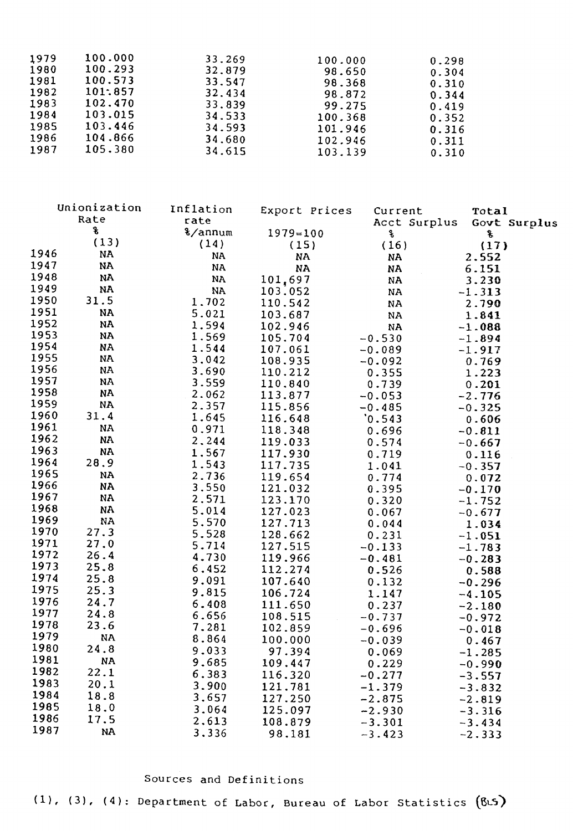| 100.000<br>1979<br>100.293<br>1980<br>100.573<br>1981                                                          | 33.269<br>32.879<br>33.547                               | 100.000<br>98.650<br>98.368                                  | 0.298<br>0.304<br>0.310                            |
|----------------------------------------------------------------------------------------------------------------|----------------------------------------------------------|--------------------------------------------------------------|----------------------------------------------------|
| 101:857<br>1982<br>1983<br>102.470<br>1984<br>103.015<br>1985<br>103.446<br>1986<br>104.866<br>1987<br>105.380 | 32.434<br>33.839<br>34.533<br>34.593<br>34.680<br>34.615 | 98.872<br>99.275<br>100.368<br>101.946<br>102.946<br>103.139 | 0.344<br>0.419<br>0.352<br>0.316<br>0.311<br>0.310 |

| Export Prices<br>Current<br>Total<br>Rate<br>rate<br>Acct Surplus<br>Govt Surplus |  |
|-----------------------------------------------------------------------------------|--|
|                                                                                   |  |
| g<br>%/annum<br>$1979 = 100$<br>s,<br>Ś.                                          |  |
| (13)<br>(14)<br>(15)<br>(16)<br>(17)                                              |  |
| 1946<br><b>NA</b><br><b>NA</b><br><b>NA</b><br>2.552<br>NA                        |  |
| 1947<br>NA<br>NA<br><b>NA</b><br><b>NA</b><br>6.151                               |  |
| 1948<br>NA<br><b>NA</b><br>101,697<br>NA<br>3.230                                 |  |
| 1949<br>NA<br><b>NA</b><br>103.052<br><b>NA</b><br>$-1.313$                       |  |
| 1950<br>31.5<br>1.702<br>110.542<br>NA<br>2.790                                   |  |
| 1951<br><b>NA</b><br>5.021<br>103.687<br><b>NA</b><br>1.841                       |  |
| 1952<br>NA<br>1.594<br>102.946<br>NA<br>$-1.088$                                  |  |
| 1953<br>NA<br>1.569<br>105.704<br>$-0.530$<br>$-1.894$                            |  |
| 1954<br><b>NA</b><br>1.544<br>107.061<br>$-0.089$<br>$-1.917$                     |  |
| 1955<br><b>NA</b><br>3.042<br>108.935<br>$-0.092$<br>0.769                        |  |
| 1956<br>NA<br>3.690<br>110.212<br>0.355<br>1.223                                  |  |
| 1957<br>NA<br>3.559<br>110.840<br>0.739<br>0.201                                  |  |
| 1958<br><b>NA</b><br>2.062<br>113.877<br>$-0.053$<br>$-2.776$                     |  |
| 1959<br><b>NA</b><br>2.357<br>115.856<br>$-0.485$<br>$-0.325$                     |  |
| 1960<br>31.4<br>1.645<br>116.648<br>0.543<br>0.606                                |  |
| 1961<br><b>NA</b><br>0.971<br>118.348<br>0.696<br>$-0.811$                        |  |
| 1962<br><b>NA</b><br>2.244<br>119.033<br>0.574<br>$-0.667$                        |  |
| 1963<br><b>NA</b><br>1.567<br>117.930<br>0.719<br>0.116                           |  |
| 1964<br>28.9<br>1.543<br>117.735<br>1.041<br>$-0.357$                             |  |
| 1965<br>NA<br>2.736<br>119.654<br>0.774<br>0.072                                  |  |
| 1966<br>3.550<br><b>NA</b><br>121.032<br>0.395<br>$-0.170$                        |  |
| 1967<br><b>NA</b><br>2.571<br>123.170<br>0.320<br>$-1.752$                        |  |
| 1968<br>NA<br>5.014<br>127.023<br>0.067<br>$-0.677$                               |  |
| 1969<br><b>NA</b><br>5.570<br>127.713<br>0.044<br>1.034                           |  |
| 1970<br>27.3<br>5.528<br>128.662<br>0.231<br>$-1.051$                             |  |
| 1971<br>27.0<br>5.714<br>127.515<br>$-0.133$<br>$-1.783$                          |  |
| 1972<br>26.4<br>4.730<br>119.966<br>$-0.481$<br>$-0.283$                          |  |
| 1973<br>25.8<br>6.452<br>112.274<br>0.526<br>0.588                                |  |
| 1974<br>25.8<br>9.091<br>107.640<br>0.132<br>$-0.296$                             |  |
| 1975<br>25.3<br>9.815<br>106.724<br>1.147<br>$-4.105$                             |  |
| 1976<br>24.7<br>6.408<br>111.650<br>0.237<br>$-2.180$                             |  |
| 1977<br>24.8<br>6.656<br>108.515<br>$-0.737$<br>$-0.972$                          |  |
| 1978<br>23.6<br>7.281<br>102.859<br>$-0.696$<br>$-0.018$                          |  |
| 1979<br><b>NA</b><br>8.864<br>100.000<br>$-0.039$<br>0.467                        |  |
| 1980<br>24.8<br>9.033<br>97.394<br>0.069<br>$-1.285$                              |  |
| 1981<br><b>NA</b><br>9.685<br>109.447<br>0.229<br>$-0.990$                        |  |
| 1982<br>22.1<br>6.383<br>116.320<br>$-0.277$<br>$-3.557$                          |  |
| 1983<br>20.1<br>3.900<br>121.781<br>$-1.379$<br>$-3.832$                          |  |
| 1984<br>18.8<br>3.657<br>127.250<br>$-2.875$<br>$-2.819$                          |  |
| 1985<br>18.0<br>3.064<br>125.097<br>$-2.930$<br>$-3.316$                          |  |
| 1986<br>17.5<br>2.613<br>108.879<br>$-3.301$<br>$-3.434$                          |  |
| 1987<br><b>NA</b><br>3.336<br>98.181<br>$-3.423$<br>$-2.333$                      |  |

## Sources and Definitions

(1), (3), (4): Department of Labor, Bureau of Labor Statistics (BLS)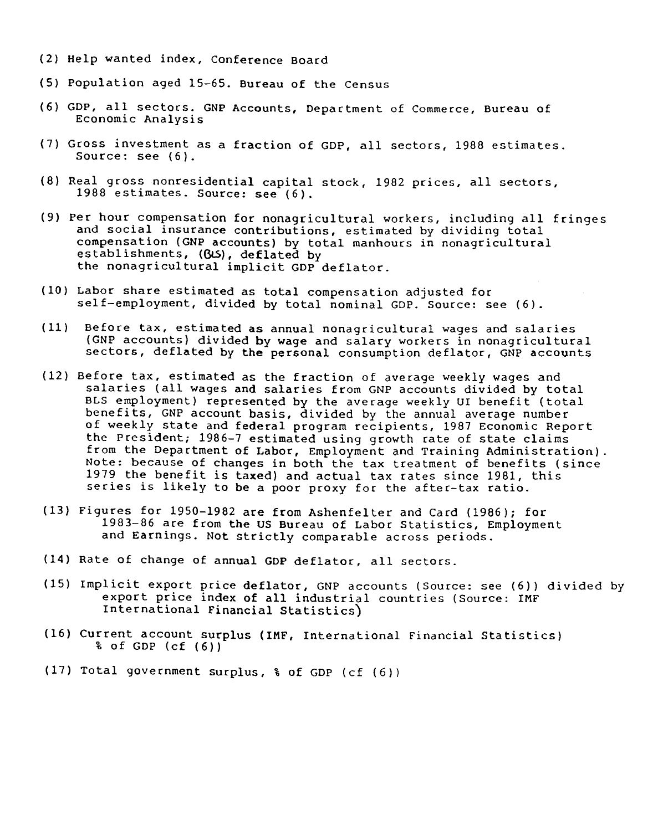- (2) Help wanted index, Conference Board
- (5) Population aged 15-65. Bureau of the Census
- (6) GDP, all sectors. GNP Accounts, Department of Commerce, Bureau of Economic Analysis
- (7) Gross investment as a fraction of GDP, all sectors, 1988 estimates. Source: see (6).
- (8) Real gross nonresidential capital stock, 1982 prices, all sectors, 1988 estimates. Source: see (6).
- (9) Per hour compensation for nonagricultural workers, including all fringes and social insurance contributions, estimated by dividing total compensation (GNP accounts) by total manhours in nonagricultural establishments, (GUS), deflated by the nonagricultural implicit GDP deflator.
- (10) Labor share estimated as total compensation adjusted for self-employment, divided by total nominal GDP. Source: see (6).
- (11) Before tax, estimated as annual nonagricultural wages and salaries (GNP accounts) divided by wage and salary workers in nonagricultural sectors, deflated by the personal consumption deflator, GNP accounts
- (12) Before tax, estimated as the fraction of average weekly wages and salaries (all wages and salaries from GNP accounts divided by total BLS employment) represented by the average weekly UI benefit (total benefits, GNP account basis, divided by the annual average number of weekly state and federal program recipients, 1987 Economic Report the President; 1986-7 estimated using growth rate of state claims from the Department of Labor, Employment and Training Administration). Note: because of changes in both the tax treatment of benefits (since 1979 the benefit is taxed) and actual tax rates since 1981, this series is likely to be a poor proxy for the after-tax ratio.
- (13) Figures for 1950-1982 are from Ashenfelter and Card (1986); for 1983-86 are from the US Bureau of Labor Statistics, Employment and Earnings. Not strictly comparable across periods.
- (14) Rate of change of annual GDP deflator, all sectors.
- (15) Implicit export price deflator, GNP accounts (Source: see (6)) divided by export price index of all industrial countries (Source: IMF International Financial Statistics)
- (16) Current account surplus (IMF, International Financial Statistics) % of GDP (cf (6))
- (17) Total government surplus, % of GDP (cf (6))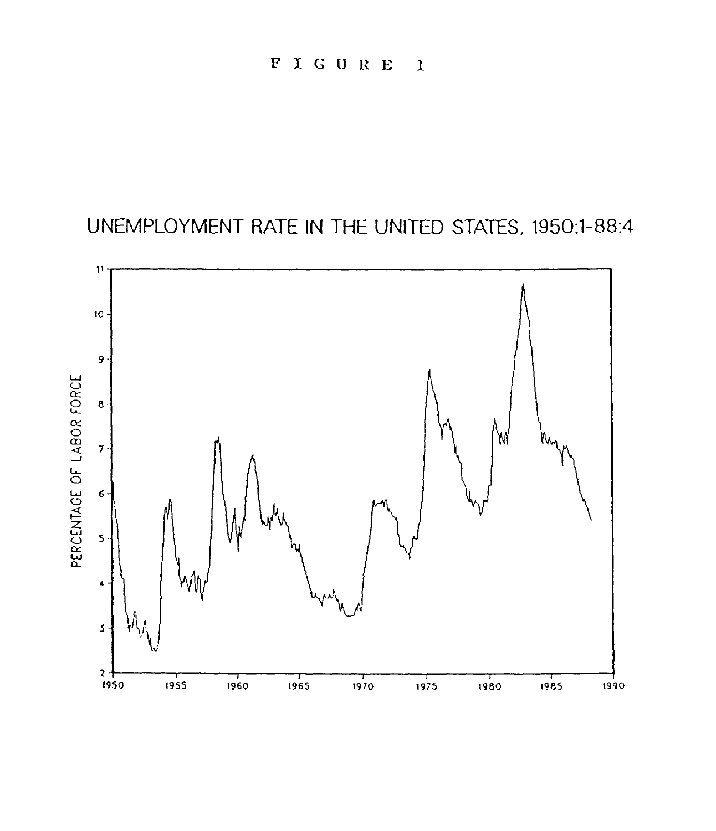UNEMPLOYMENT RATE IN THE UNITED STATES, 1950:1-88:4

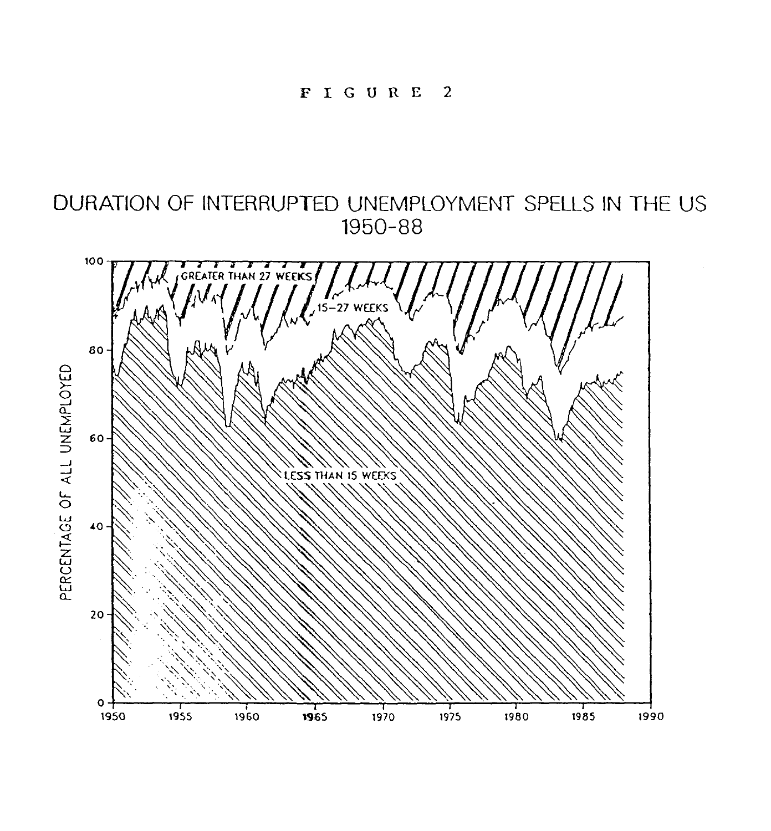DURATION OF INTERRUPTED UNEMPLOYMENT SPELLS IN THE US 1950-88

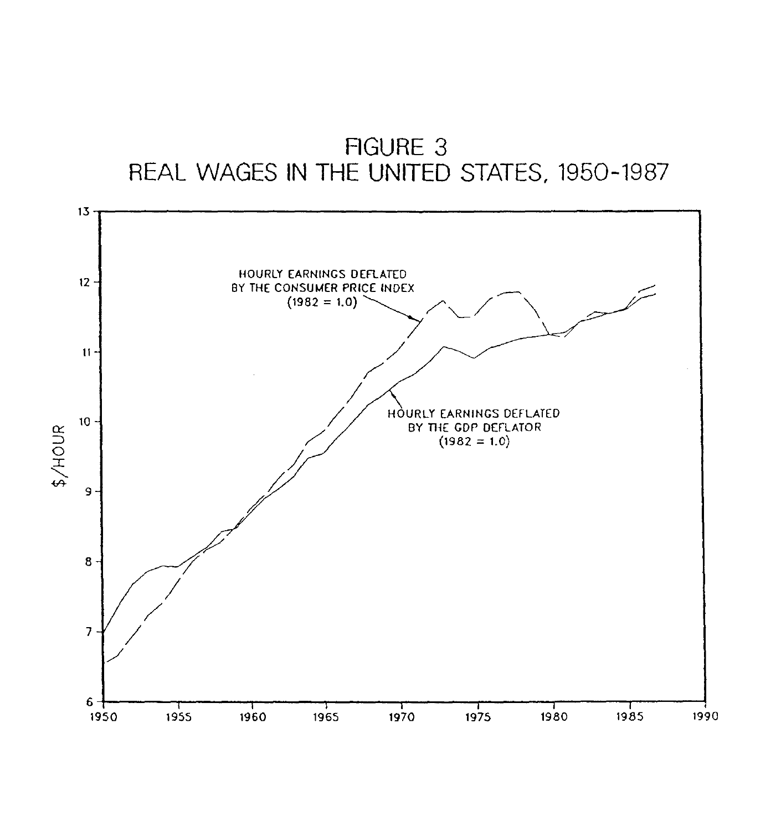

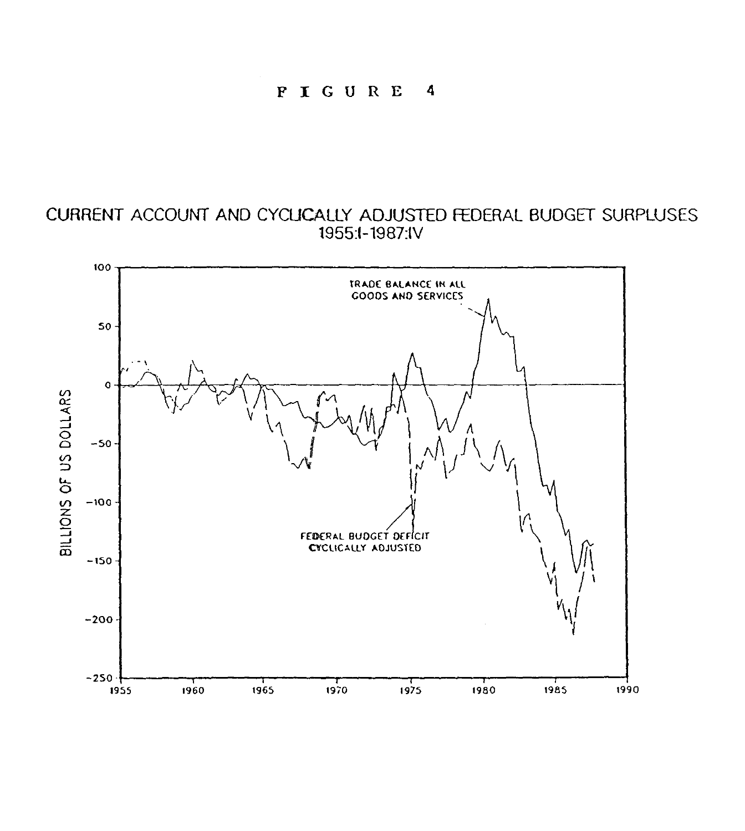## CURRENT ACCOUNT AND CYCLICALLY ADJUSTED FEDERAL BUDGET SURPLUSES 1955i-1987:IV

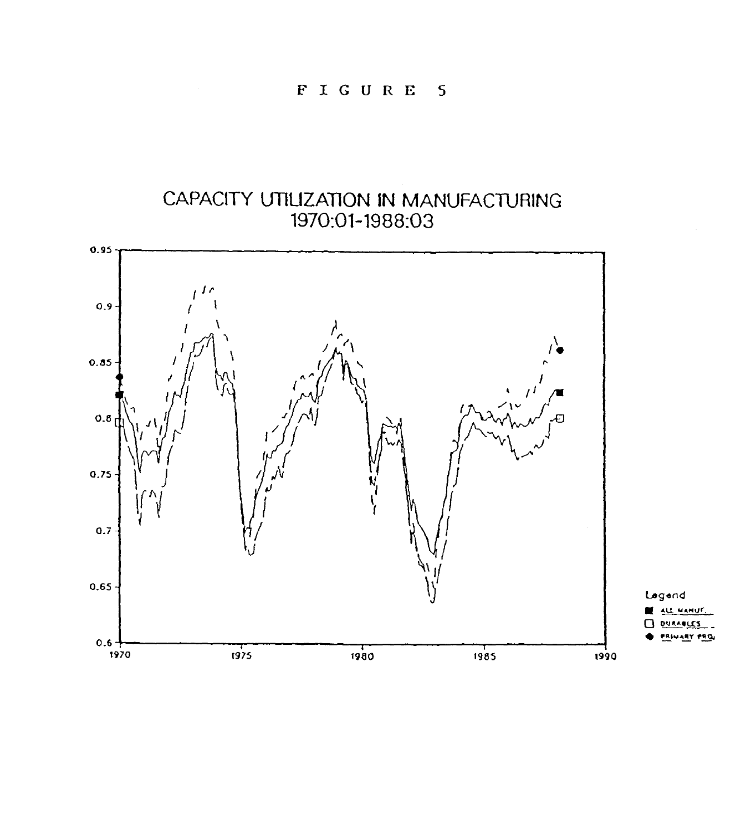## CAPACITY UTILIZATION IN MANUFACTURING 1970:01-1988:03

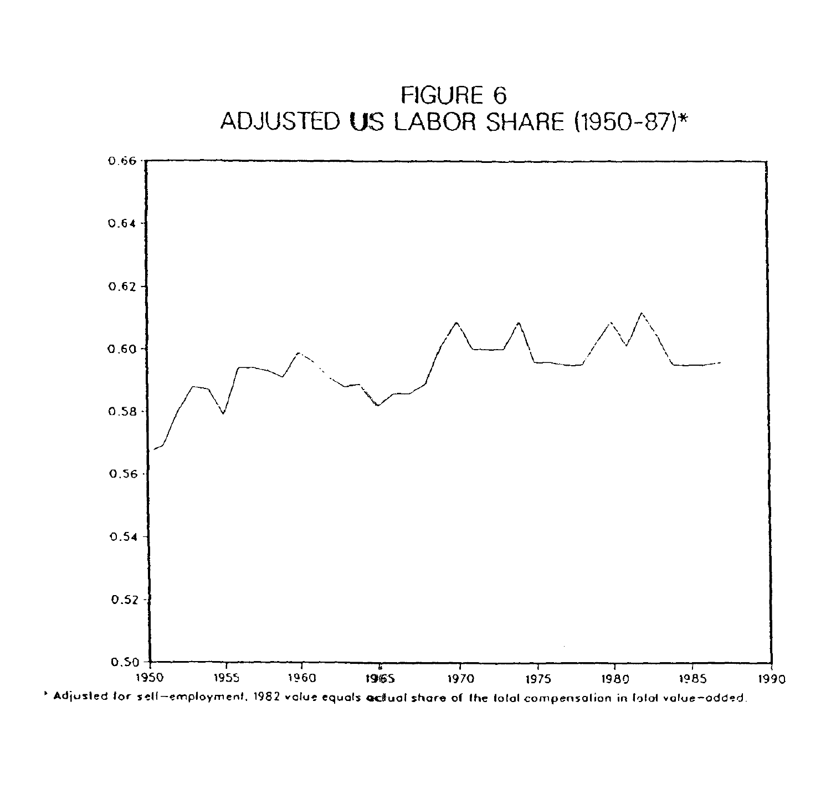

' Adjusted for sell—employment. 1982 volue equals actual share of the total compensation in total value-odded.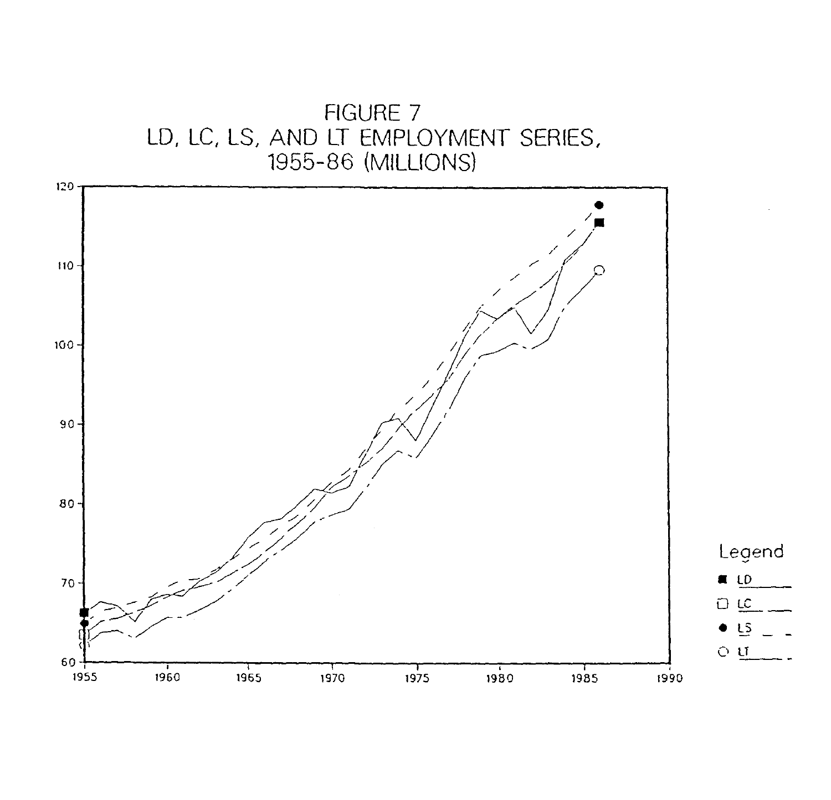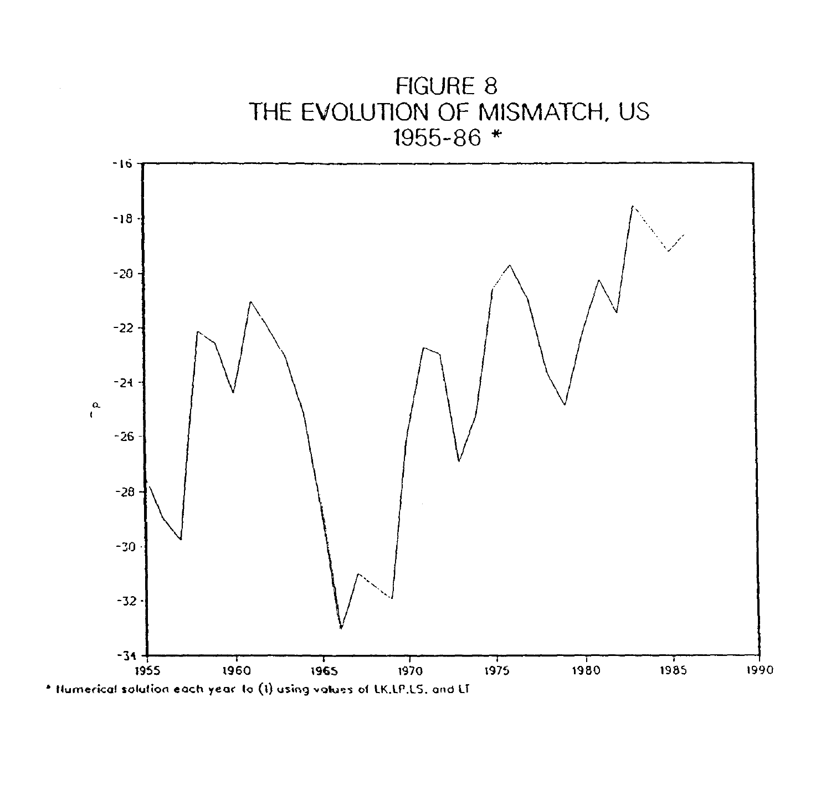

• Humerical solution each year to (I) using values of LK.LP.LS, and LT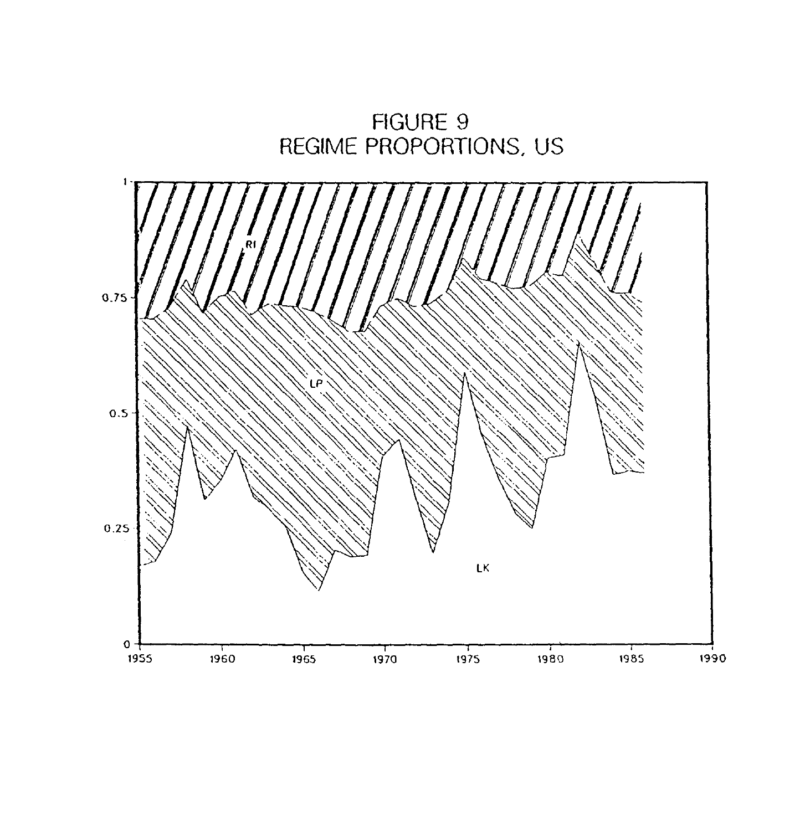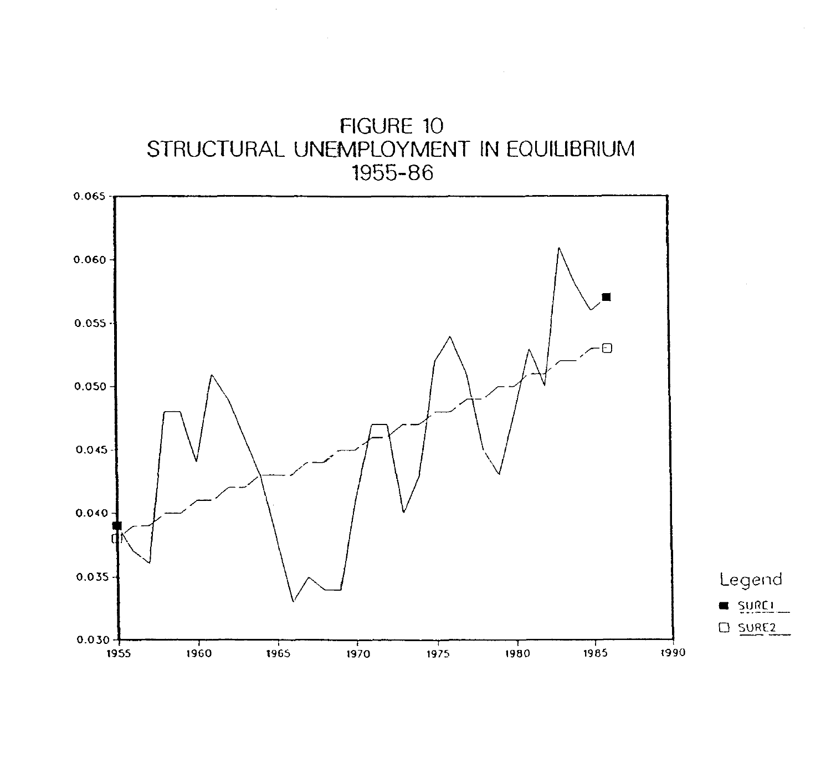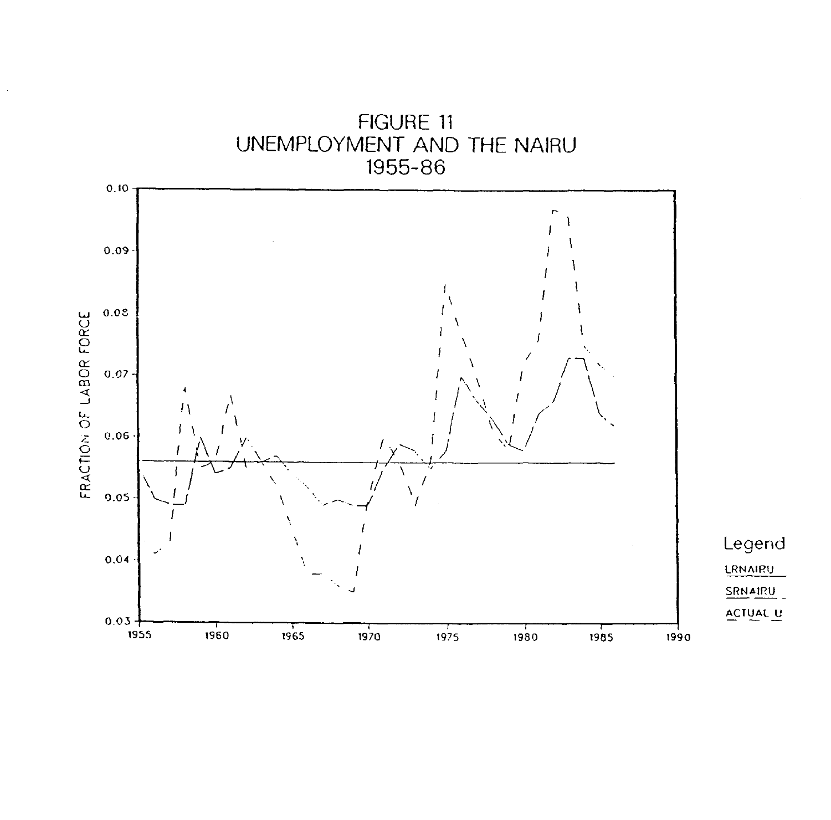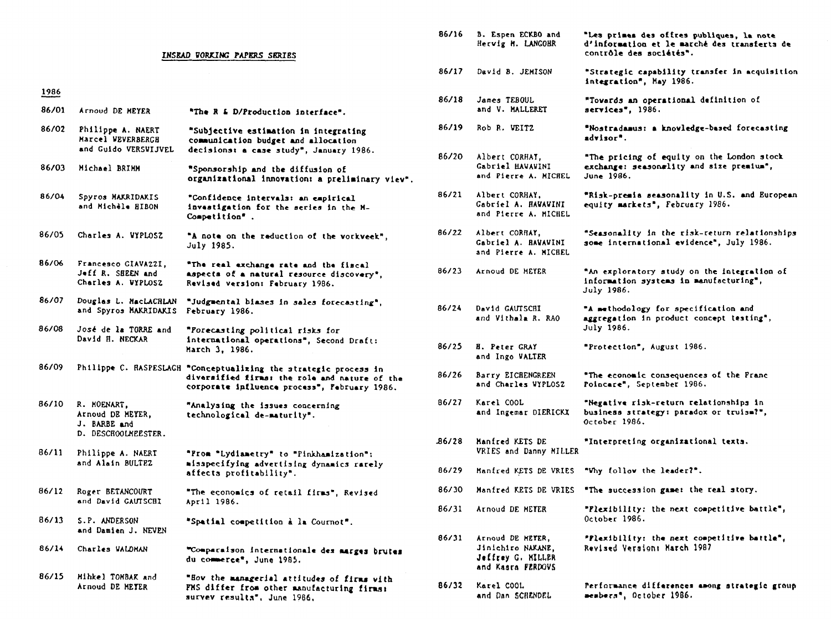#### **INSEAD VORKING PAPERS SERIES contrele des societts".**

| 1986 |  |
|------|--|
|      |  |

- **Arnoud DE MEYER services", 1986. "The R L D/Production interface". 86/01**
- **Philippe A. NAERT Marcel VEVERBERGB and Guido VERSVIJVEL**  86/02 Philippe A. NAERT "Subjective estimation in integrating **communication budget and allocation**  decisions: a case study", January 1986.
- **86/03 Michael BRIMS "Sponsorship and the diffusion of organisational innovation: a preliminary viev".**
- **86/04 Spyros MAKRIDAKIS and Michile BIBON "Confidence intervals: an empirical investigation for the series in the M-Competition" .**
- **July 1985.**

- **86/11 Philippe A. NAERT and Alain BULTP.Z "Pro. 'Lydianetry" to "Pinkhanization": aisspecifying advertising dynamics rarely affects profitability".**
- **86/12 Roger BETANCOURT**  and David **CAUTSCHI 86/30 Manfred KETS DE VRIES "The succession game: the real story. "The economics of retail firms", Revised April 1986.**

**"Row the \*imager'sl attitudes of firma with**  Arnoud DE METER **FMS differ from other manufacturing firms:** B6/32 Karel COOL Performance differences among strategic group **survey results",** June 1966. **86/15 Mihkel TOMBAE and** 

|               |                                                                | INSEAD VORKING PAPERS SERIES                                                                                                                                      | 86/16 | B. Espen ECKBO and<br>Hervig M. LANGOHR                                         | "Les primes des offres publiques, la note<br>d'information et le marché des transferts de<br>contrôle des sociétés". |
|---------------|----------------------------------------------------------------|-------------------------------------------------------------------------------------------------------------------------------------------------------------------|-------|---------------------------------------------------------------------------------|----------------------------------------------------------------------------------------------------------------------|
|               |                                                                |                                                                                                                                                                   | 86/17 | David B. JEMISON                                                                | "Strategic capability transfer in acquisition<br>integration", May 1986.                                             |
| 1986<br>86/01 | Arnoud DE MEYER                                                | "The R & D/Production interface".                                                                                                                                 | 86/18 | James TEBOUL<br>and V. MALLERET                                                 | "Towards an operational definition of<br>services", 1986.                                                            |
| 86/02         | Philippe A. NAERT<br>Marcel VEVERBERGH                         | "Subjective estimation in integrating<br>communication budget and allocation                                                                                      | 86/19 | Rob R. VEITZ                                                                    | "Nostradamus: a knowledge-based forecasting<br>advisor".                                                             |
| 86/03         | and Guido VERSVIJVEL<br>Michael BRIMM                          | decisions: a case study", January 1986.<br>"Sponsorship and the diffusion of<br>organizational innovation: a preliminary view".                                   | 86/20 | Albert CORHAY,<br>Gabriel HAVAWINI<br>and Pierre A. MICHEL                      | "The pricing of equity on the London stock<br>exchange: seasonglity and size premium",<br>June 1986.                 |
| 86/04         | Spyros MAKRIDAKIS<br>and Michèle HIBON                         | "Confidence intervals: an empirical<br>investigation for the series in the M-<br>Competition".                                                                    | 86/21 | Albert CORHAY,<br>Cabriel A. HAVAVINI<br>and Pierre A. MICHEL                   | "Risk-premia seasonality in U.S. and European<br>equity markets", February 1986.                                     |
| 86/05         | Charles A. WYPLOSZ                                             | "A note on the reduction of the vorkveek",<br><b>July 1985.</b>                                                                                                   | 86/22 | Albert CORRAY,<br>Gabriel A. BAWAWINI<br>and Pierre A. MICHEL                   | "Seasonality in the risk-return relationships<br>some international evidence", July 1986.                            |
| 86/06         | Francesco CIAVAZZI,<br>Jeff R. SBEEN and<br>Charles A. WYPLOSZ | "The real exchange rate and the fiscal<br>aspects of a natural resource discovery",<br>Revised version: February 1986.                                            | 86/23 | Arnoud DE HEYER                                                                 | "An exploratory study on the integration of<br>information systems in manufacturing",<br>July 1986.                  |
| 86/07         | Douglas L. MacLACRLAN<br>and Spyros MAKRIDAKIS                 | "Judgmental biases in sales forecasting",<br>February 1986.                                                                                                       | 86/24 | David GAUTSCHI<br>and Vithala R. RAO                                            | "A methodology for specification and<br>aggregation in product concept testing",<br>July 1986.                       |
| 86/08         | José de la TORRE and<br>David H. NECKAR                        | "Forecasting political risks for<br>international operations", Second Draft:<br>March 3. 1986.                                                                    | 86/25 | <b>H. Peter GRAY</b><br>and Ingo WALTER                                         | "Protection", August 1986.                                                                                           |
| 86/09         |                                                                | Philippe C. HASPESLAGH "Conceptualizing the strategic process in<br>diversified firms: the role and nature of the<br>corporate influence process", February 1986. | 86/26 | Barry EICHENGREEN<br>and Charles WYPLOSZ                                        | "The economic consequences of the Pranc<br>Poincare", September 1986.                                                |
| 86/10         | R. MOENART,<br>Arnoud DE MEYER,<br>J. BARBE and                | "Analysing the issues concerning<br>technological de-maturity".                                                                                                   | 86/27 | Karel COOL<br>and Ingemar DIERICKX                                              | "Negative risk-return relationships in<br>business strategy: paradox or truism?",<br>October 1986.                   |
| 86/11         | D. DESCHOOLKEESTER.<br>Philippe A. NAERT                       | "From "Lydiametry" to "Pinkhamization":                                                                                                                           | 86/28 | Manfred KETS DE<br>VRIES and Danny MILLER                                       | "Interpreting organizational texts.                                                                                  |
|               | and Alain BULTEZ                                               | misspecifying advertising dynamics rarely<br>affects profitability".                                                                                              | 86/29 | Manfred KETS DE VRIES                                                           | "Why follow the leader?".                                                                                            |
| 86/12         | Roger BETANCOURT                                               | "The economics of retail firms", Revised                                                                                                                          | 86/30 |                                                                                 | Hanfred KETS DE VRIES "The succession game: the real story.                                                          |
| 86/13         | and David CAUTSCHI<br>S.P. ANDERSON                            | April 1986.<br>"Spatial competition à la Cournot".                                                                                                                | 86/31 | Arnoud DE METER                                                                 | "Plexibility: the next competitive battle",<br>October 1986.                                                         |
|               | and Damien J. NEVEN                                            |                                                                                                                                                                   | 86/31 |                                                                                 |                                                                                                                      |
| 86/14         | Charles WALDMAN                                                | "Comparaison internationale des marges brutes<br>du commerce", June 1985.                                                                                         |       | Arnoud DE METER,<br>Jinichiro NAKANE.<br>Jeffrey G. MILLER<br>and Kasra FERDOVS | "Plexibility: the next competitive battle",<br>Revised Version: March 1987                                           |
| 86/15         | Mihkel TOMBAK and<br>J DD MOVDI                                | "How the managerial attitudes of firms with                                                                                                                       |       | R6732 Revel COOL                                                                | Berformannen differensen engang etxetegie group                                                                      |

**86/32 Karel COOL end** Dan SCRENDEL **members', October 1986.**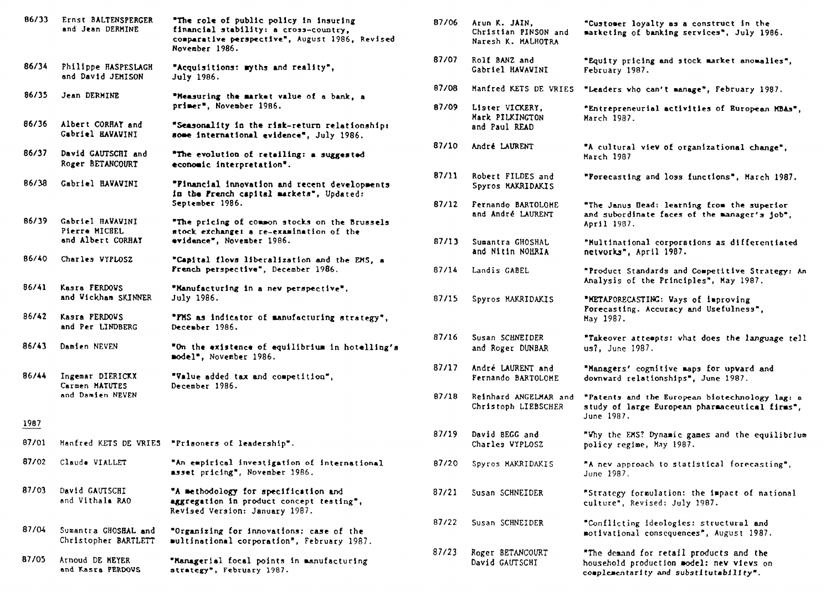| 86/33         | Ernst BALTENSPERGER<br>and Jean DERMINE                | "The role of public policy in insuring<br>financial stability: a cross-country,<br>comparative perspective", August 1986, Revised<br>November 1986. | 87/06 | Arun K. JAIN.<br>Christian PINSON and<br>Naresh K. MALHOTRA | "Customer loyalty as a construct in the<br>marketing of banking services", July 1986.                                         |
|---------------|--------------------------------------------------------|-----------------------------------------------------------------------------------------------------------------------------------------------------|-------|-------------------------------------------------------------|-------------------------------------------------------------------------------------------------------------------------------|
| 86/34         | Philippe HASPESLAGH<br>and David JEMISON               | "Acquisitions: myths and reality",<br>July 1986.                                                                                                    | 87/07 | Rolf BANZ and<br>Gabriel HAVAVINI                           | "Equity pricing and stock market anomalies",<br>February 1987.                                                                |
| 86/35         | Jean DERMINE                                           | "Measuring the market value of a bank, a                                                                                                            | 87/08 | Manfred KETS DE VRIES                                       | "Leaders who can't manage", February 1987.                                                                                    |
|               |                                                        | primer", November 1986.                                                                                                                             | 87/09 | Lister VICKERY,<br>Mark PILKINGTON                          | "Entrepreneurial activities of European MBAs"<br>March 1987.                                                                  |
| 86/36         | Albert CORHAY and<br>Gabriel HAVAVINI                  | "Seasonality in the risk-return relationship:<br>some international evidence", July 1986.                                                           |       | and Paul READ                                               |                                                                                                                               |
| 86/37         | David GAUTSCHI and<br>Roger BETANCOURT                 | "The evolution of retailing: a suggested<br>economic interpretation".                                                                               | 87/10 | André LAURENT                                               | "A cultural viev of organizational change".<br>March 1987                                                                     |
| 86/38         | Gabriel HAVAVINI                                       | "Pinancial innovation and recent developments<br>in the French capital markets", Updated:                                                           | 87/11 | Robert FILDES and<br>Spyros MAKRIDAKIS                      | "Forecasting and loss functions", March 1987.                                                                                 |
| 86/39         |                                                        | September 1986.                                                                                                                                     | 87/12 | Fernando BARTOLOME<br>and André LAURENT                     | "The Janus Bead: learning from the superior<br>and subordinate faces of the manager's job",                                   |
|               | Gabriel HAVAVINI<br>Pierre MICHEL<br>and Albert CORHAY | "The pricing of common stocks on the Brussels<br>stock exchange: a re-examination of the<br>evidence", November 1986.                               | 87/13 | Sumantra GHOSHAL                                            | April 1987.<br>"Multinational corporations as differentiated                                                                  |
| 86/40         | Charles WYPLOSZ                                        | "Capital flows liberalization and the EMS, a                                                                                                        |       | and Nitin NOHRIA                                            | netvorks", April 1987.                                                                                                        |
|               |                                                        | French perspective", December 1986.                                                                                                                 | 87/14 | Landis GABEL                                                | "Product Standards and Competitive Strategy:<br>Analysis of the Principles", May 1987.                                        |
| 86/41         | Kasra FERDOVS<br>and Wickham SKINNER                   | "Manufacturing in a new perspective",<br>July 1986.                                                                                                 | 87/15 | Spyros MAKRIDAKIS                                           | "METAPORECASTING: Vays of improving<br>Porecasting. Accuracy and Usefulness",                                                 |
| 86/42         | Kasra PERDOWS<br>and Per LINDBERG                      | "PMS as indicator of manufacturing strategy",<br>December 1986.                                                                                     |       |                                                             | May 1987.                                                                                                                     |
| 86/43         | Damien NEVEN                                           | "On the existence of equilibrium in hotelling's<br>model", November 1986.                                                                           | 87/16 | Susan SCHNEIDER<br>and Roger DUNBAR                         | "Takeover attempts: what does the language te<br>us?, June 1987.                                                              |
| 86/44         | Ingemar DIERICKX<br>Carmen MATUTES                     | "Value added tax and competition",<br>December 1986.                                                                                                | 87/17 | André LAURENT and<br>Fernando BARTOLOME                     | "Managers' cognitive maps for upvard and<br>downward relationships", June 1987.                                               |
|               | and Damien NEVEN                                       |                                                                                                                                                     | 87/18 | Reinhard ANGELMAR and<br>Christoph LIEBSCHER                | "Patents and the European biotechnology lag:<br>study of large European pharmaceutical firms"<br>June 1987.                   |
| 1987<br>87/01 |                                                        | Manfred KETS DE VRIES "Prisoners of leadership".                                                                                                    | 87/19 | David BEGG and                                              | "Why the EMS? Dynamic games and the equilibri                                                                                 |
| 87/02         | Claude VIALLET                                         | "An empirical investigation of international                                                                                                        |       | Charles VYPLOSZ                                             | policy regime, May 1987.                                                                                                      |
|               |                                                        | asset pricing", November 1986.                                                                                                                      | 87/20 | Spyros MAKRIDAKIS                                           | "A new approach to statistical forecasting",<br>June 1987.                                                                    |
| 87/03         | David GAUTSCHI<br>and Vithala RAO                      | "A methodology for specification and<br>aggregation in product concept testing",<br>Revised Version: January 1987.                                  | 87/21 | Susan SCHNEIDER                                             | "Strategy formulation: the impact of national<br>culture", Revised: July 1987.                                                |
| 87/04         | Sumantra GHOSHAL and<br>Christopher BARTLETT           | "Organizing for innovations: case of the<br>multinational corporation", February 1987.                                                              | 87/22 | Susan SCHNEIDER                                             | "Conflicting ideologies: structural and<br>motivational consequences", August 1987.                                           |
| 87/05         | Arnoud DE MEYER<br>and Kasra PERDOVS                   | "Managerial focal points in manufacturing<br>strategy", February 1987.                                                                              | 87/23 | Roger BETANCOURT<br>David GAUTSCHI                          | "The demand for retail products and the<br>household production model: new views on<br>complementarity and substitutability". |

| "The role of public policy in insuring<br>financial stability: a cross-country,<br>comparative perspective", August 1986, Revised<br><b>November 1986.</b> | 87/06          | Arun K. JAIN,<br>Christian PINSON and<br>Naresh K. MALHOTRA | "Customer loyalty as a construct in the<br>marketing of banking services", July 1986.                          |
|------------------------------------------------------------------------------------------------------------------------------------------------------------|----------------|-------------------------------------------------------------|----------------------------------------------------------------------------------------------------------------|
| "Acquisitions: myths and reality",<br><b>July 1986.</b>                                                                                                    | 87/07          | Rolf BANZ and<br>Gabriel HAVAVINI                           | "Equity pricing and stock market anomalies",<br>February 1987.                                                 |
| "Measuring the market value of a bank, a<br>primer", November 1986.                                                                                        | 87/08<br>87/09 | Manfred KETS DE VRIES<br>Lister VICKERY,                    | "Leaders who can't manage", February 1987.<br>"Entrepreneurial activities of European MBAs",                   |
| "Seasonality in the risk-return relationship:<br>some international evidence", July 1986.                                                                  |                | Mark PILKINGTON<br>and Paul READ                            | March 1987.                                                                                                    |
| "The evolution of retailing: a suggested<br>economic interpretation".                                                                                      | 87/10          | André LAURENT                                               | "A cultural view of organizational change",<br>March 1987                                                      |
| "Pinancial innovation and recent developments<br>in the French capital markets", Updated:                                                                  | 87/11          | Robert FILDES and<br>Spyros MAKRIDAKIS                      | "Porecasting and loss functions", March 1987.                                                                  |
| September 1986.<br>"The pricing of common stocks on the Brussels                                                                                           | 87/12          | Fernando BARTOLOME<br>and André LAURENT                     | "The Janus Head: learning from the superior<br>and subordinate faces of the manager's job",<br>April 1987.     |
| stock exchange: a re-examination of the<br>evidance", November 1986.                                                                                       | 87/13          | Sumantra GHOSHAL<br>and Nitin NOHRIA                        | "Multinational corporations as differentiated<br>netvorks", April 1987.                                        |
| "Capital flows liberalization and the EMS, a<br>French perspective", December 1986.                                                                        | 87/14          | Landis GABEL                                                | "Product Standards and Competitive Strategy: An<br>Analysis of the Principles", May 1987.                      |
| "Manufacturing in a new perspective",<br>July 1986.                                                                                                        | 87/15          | Spyros MAKRIDAKIS                                           | "METAPORECASTING: Vays of improving<br>Porecasting. Accuracy and Usefulness",                                  |
| "FMS as indicator of manufacturing strategy",<br><b>December 1986.</b>                                                                                     |                |                                                             | May 1987.                                                                                                      |
| "On the existence of equilibrium in hotelling's<br><b>»odel", November 1986.</b>                                                                           | 87/16          | Susan SCHNEIDER<br>and Roger DUNBAR                         | "Takeover attempts: vhat does the language tell<br>us?, June 1987.                                             |
| "Value added tax and competition",<br><b>December 1986.</b>                                                                                                | 87/17          | André LAURENT and<br>Fernando BARTOLOME                     | "Managers' cognitive maps for upvard and<br>downward relationships", June 1987.                                |
|                                                                                                                                                            | 87/18          | Reinhard ANGELMAR and<br>Christoph LIEBSCHER                | "Patents and the European biotechnology lag: a<br>study of large European pharmaceutical firms",<br>June 1987. |
| 'Prisoners of leadership".                                                                                                                                 | 87/19          | David BEGG and<br>Charles VYPLOSZ                           | "Why the EMS? Dynamic games and the equilibrium<br>policy regime, May 1987.                                    |
| An empirical investigation of international<br><b>isset pricing", November 1986.</b>                                                                       | 87/20          | Spyros MAKRIDAKIS                                           | "A nev approach to statistical forecasting",<br>June 1987.                                                     |
| A methodology for specification and<br>uggregation in product concept testing",<br><b>levised Version: January 1987.</b>                                   | 87/21          | Susan SCHNEIDER                                             | "Strategy formulation: the impact of national<br>culture", Revised: July 1987.                                 |
| Organizing for innovations: case of the<br>ultinational corporation", February 1987.                                                                       | 87/22          | Susan SCHNEIDER                                             | "Conflicting ideologies: structural and<br>motivational consequences", August 1987.                            |
| Managerial focal points in manufacturing                                                                                                                   | 87/23          | Roger BETANCOURT<br>David GAUTSCHI                          | "The demand for retail products and the<br>household production model: new views on                            |

**complementarity and substitutability".**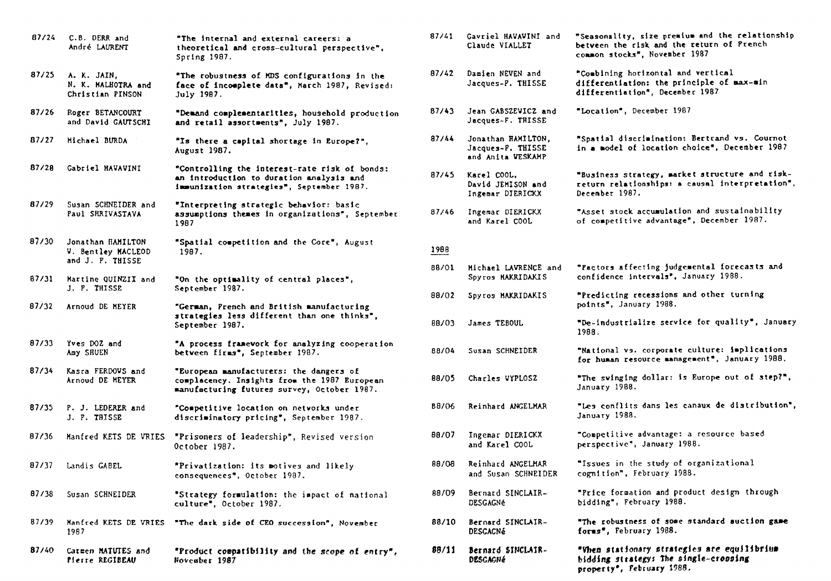| 87/24 | C.B. DERR and<br>André LAURENT                          | "The internal and external careers: a<br>theoretical and cross-cultural perspective",<br>Spring 1987.                                  | 87/41 | Gavriel HAVAVINI and<br>Claude VIALLET                       | "Seasonality, size premium and the relationship<br>between the risk and the return of Prench<br>common stocks", November 1987  |
|-------|---------------------------------------------------------|----------------------------------------------------------------------------------------------------------------------------------------|-------|--------------------------------------------------------------|--------------------------------------------------------------------------------------------------------------------------------|
| 87/25 | A. K. JAIN,<br>N. K. MALHOTRA and<br>Christian PINSON   | "The robustness of MDS configurations in the<br>face of incomplete data", March 1987, Revised:<br>July 1987.                           | 87/42 | Damien NEVEN and<br>Jacques-P. THISSE                        | "Combining horizontal and vertical<br>differentiation: the principle of max-min<br>differentiation", December 1987             |
| 87/26 | Roger BETANCOURT<br>and David GAUTSCHI                  | "Demand complementarities, household production<br>and retail assortments", July 1987.                                                 | 87/43 | Jean GABSZEVICZ and<br>Jacques-F. THISSE                     | "Location", December 1987                                                                                                      |
| 87/27 | Michael BURDA                                           | "Is there a capital shortage in Europe?",<br>August 1987.                                                                              | 87/44 | Jonathan HAMILTON,<br>Jacques-P. THISSE<br>and Anita VESKAMP | "Spatial discrimination: Bertrand vs. Cournot<br>in a model of location choice", December 1987                                 |
| 87/28 | Gabriel HAVAVINI                                        | "Controlling the interest-rate risk of bonds:<br>an introduction to duration analysis and<br>immunization strategies", September 1987. | 87/45 | Karel COOL,<br>David JEMISON and<br>Ingemar DIERICKX         | "Business strategy, market structure and risk-<br>return relationships: a causal interpretation",<br>December 1987.            |
| 87/29 | Susan SCHNEIDER and<br>Paul SHRIVASTAVA                 | "Interpreting strategic behavior: basic<br>assumptions themes in organizations", September<br>1987                                     | 87/46 | Ingemar DIERICKX<br>and Karel COOL                           | "Asset stock accumulation and sustainability<br>of competitive advantage", December 1987.                                      |
| 87/30 | Jonathan HAMILTON<br>V. Bentley MACLEOD                 | "Spatial competition and the Core", August<br>1987.                                                                                    | 1988  |                                                              |                                                                                                                                |
| 87/31 | and J. P. THISSE<br>Martine QUINZII and<br>J. F. THISSE | "On the optimality of central places",                                                                                                 | 88/01 | Michael LAVRENCE and<br>Spyros MAKRIDAKIS                    | "Pactors affecting judgemental forecasts and<br>confidence intervals", January 1988.                                           |
|       |                                                         | September 1987.                                                                                                                        | 88/02 | Spyros MAKRIDAKIS                                            | "Predicting recessions and other turning<br>points", January 1988.                                                             |
| 87/32 | Arnoud DE MEYER                                         | "German, Prench and British manufacturing<br>strategies less different than one thinks",<br>September 1987.                            | 88/03 | James TEBOUL                                                 | "De-industrialize service for quality", January<br>1988.                                                                       |
| 87/33 | Yves DOZ and<br>Amy SHUEN                               | "A process framework for analyzing cooperation<br>between firms", September 1987.                                                      | 88/04 | Susan SCHNEIDER                                              | "National vs. corporate culture: implications<br>for human resource management", January 1988.                                 |
| 87/34 | Kasra FERDOVS and<br>Arnoud DE MEYER                    | "European manufacturers: the dangers of<br>complacency. Insights from the 1987 European<br>manufacturing futures survey, October 1987. | 88/05 | Charles VYPLOSZ                                              | "The svinging dollar: is Europe out of step?",<br>January 1988.                                                                |
| 87/35 | P. J. LEDERER and<br>J. P. THISSE                       | "Competitive location on netvorks under<br>discriminatory pricing", September 1987.                                                    | 88/06 | Reinhard ANGELMAR                                            | "Les conflits dans les canaux de distribution",<br>January 1988.                                                               |
| 87/36 | Manfred KETS DE VRIES                                   | "Prisoners of leadership", Revised version<br>October 1987.                                                                            | 88/07 | Ingemar DIERICKX<br>and Karel COOL                           | "Competitive advantage: a resource based<br>perspective", January 1988.                                                        |
| 87/37 | Landis GABEL                                            | "Privatization: its motives and likely<br>consequences", October 1987.                                                                 | 88/08 | Reinhard ANGELMAR<br>and Susan SCHNEIDER                     | "Issues in the study of organizational<br>cognition", February 1988.                                                           |
| 87/38 | Susan SCHNEIDER                                         | "Strategy formulation: the impact of national<br>culture", October 1987.                                                               | 88/09 | Bernard SINCLAIR-<br><b>DESGAGNé</b>                         | "Price formation and product design through<br>bidding", February 1988.                                                        |
| 87/39 | Manfred KETS DE VRIES<br>1987                           | "The dark side of CEO succession", November                                                                                            | 88/10 | Bernard SINCLAIR-<br><b>DESCACNé</b>                         | "The robustness of some standard auction game<br>forms", February 1988.                                                        |
| 87/40 | Carmen MATUTES and<br>Pierre REGIBEAU                   | "Product compatibility and the scope of entry".<br>November 1987                                                                       | 88/11 | Bernard SINCLAIR-<br>DESCACNÉ                                | "When stationary strategies are equilibrius<br>bidding strategy: The single-crossing<br>property <sup>*</sup> , February 1988. |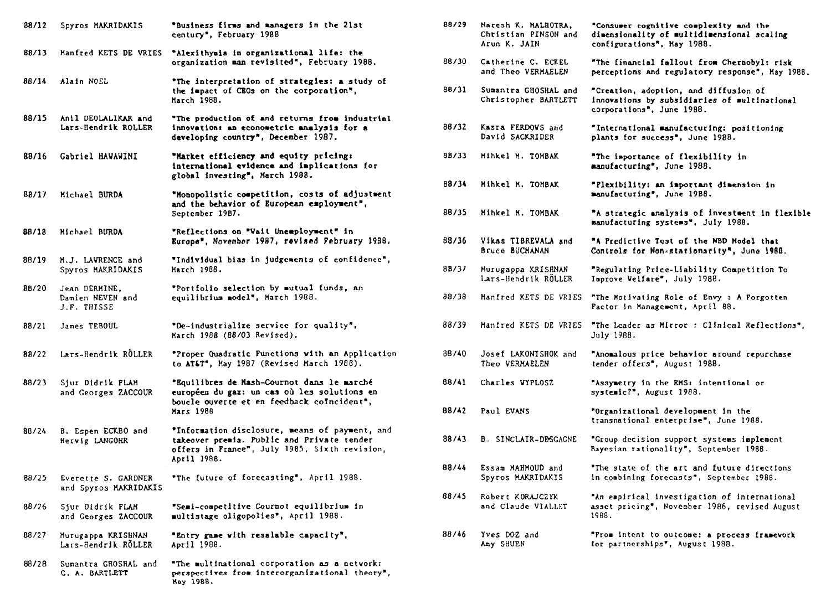| 88/12 | Spyros MAKRIDAKIS                                | "Business firms and managers in the 21st<br>century", February 1988                                                                                          | 88/29 | Naresh K. MALHOTRA,<br>Christian PINSON and<br>Arun K. JAIN | "Consumer cognitive complexity and the<br>dimensionality of multidimensional scaling<br>configurations", May 1988. |
|-------|--------------------------------------------------|--------------------------------------------------------------------------------------------------------------------------------------------------------------|-------|-------------------------------------------------------------|--------------------------------------------------------------------------------------------------------------------|
| 88/13 | Manfred KETS DE VRIES                            | "Alexithymia in organizational life: the<br>organization man revisited", February 1988.                                                                      | 88/30 | Catherine C. ECKEL<br>and Theo VERMAELEN                    | "The financial fallout from Chernobyl: ris<br>perceptions and regulatory response", Hay                            |
| 88/14 | Alain NOEL                                       | "The interpretation of strategies: a study of<br>the impact of CEOs on the corporation",<br>March 1988.                                                      | 88/31 | Sumantra GHOSHAL and<br>Christopher BARTLETT                | "Creation, adoption, and diffusion of<br>innovations by subsidiaries of multination<br>corporations", June 1988.   |
| 88/15 | Anil DEOLALIKAR and<br>Lars-Hendrik ROLLER       | "The production of and returns from industrial<br>innovation: an econometric analysis for a<br>developing country", December 1987.                           | 88/32 | Kasra FERDOVS and<br>David SACKRIDER                        | "International manufacturing: positioning<br>plants for success", June 1988.                                       |
| 88/16 | Gabriel HAVAWINI                                 | "Market efficiency and equity pricing:<br>international evidence and implications for<br>global investing", March 1988.                                      | 88/33 | Mihkel M. TOMBAK                                            | "The importance of flexibility in<br>manufacturing", June 1988.                                                    |
| 88/17 | Michael BURDA                                    | "Monopolistic competition, costs of adjustment                                                                                                               | 88/34 | Mihkel M. TOMBAK                                            | "Flexibility: an important dimension in<br>manufacturing", June 19B8.                                              |
|       |                                                  | and the behavior of European employment",<br>September 19B7.                                                                                                 | 88/35 | Minkel M. TOMBAK                                            | "A strategic analysis of investment in fle<br>manufacturing systems", July 1988.                                   |
| 88/18 | Michael BURDA                                    | "Reflections on "Vait Unemployment" in<br>Europe", November 1987, revised February 1988.                                                                     | 88/36 | Vikas TIBREVALA and<br>Bruce BUCHANAN                       | "A Predictive Test of the NBD Model that<br>Controls for Non-stationarity", June 1988.                             |
| 88/19 | H.J. LAVRENCE and<br>Spyros MAKRIDAKIS           | "Individual bias in judgements of confidence",<br>March 1988.                                                                                                | 88/37 | Murugappa KRISHNAN<br>Lars-Hendrik RÖLLER                   | "Regulating Price-Liability Competition To<br>Improve Velfare", July 1988.                                         |
| 8B/20 | Jean DERMINE,<br>Damien NEVEN and<br>J.F. THISSE | "Portfolio selection by mutual funds, an<br>equilibrium model", March 1988.                                                                                  | 88/38 | Manfred KETS DE VRIES                                       | "The Motivating Role of Envy: A Porgotten<br>Pactor in Management, April 88.                                       |
| 88/21 | James TEBOUL                                     | "De-industrialize service for quality",<br>March 1988 (88/03 Revised).                                                                                       | 88/39 | Manfred KETS DE VRIES                                       | "The Leader as Mirror : Clinical Reflectio<br>July 1988.                                                           |
| 88/22 | Lars-Hendrik RÖLLER                              | "Proper Quadratic Punctions with an Application<br>to AT&T", May 1987 (Revised March 1988).                                                                  | 88/40 | Josef LAKONISHOK and<br>Theo VERMAELEN                      | "Anomalous price behavior around repurchas<br>tender offers", August 1988.                                         |
| 88/23 | Sjur Didrik PLAM<br>and Georges ZACCOUR          | "Equilibres de Nash-Cournot dans le marché<br>européen du gaz: un cas où les solutions en                                                                    | 88/41 | Charles VYPLOSZ                                             | "Assymetry in the EMS: intentional or<br>systemic?", August 1988.                                                  |
|       |                                                  | boucle ouverte et en feedback coIncident",<br>Mars 1988                                                                                                      | 88/42 | Paul EVANS                                                  | "Organizational development in the<br>transnational enterprise", June 1988.                                        |
| 88/24 | B. Espen ECKBO and<br>Hervig LANGOHR             | "Information disclosure, means of payment, and<br>takeover premia. Public and Private tender<br>offers in France", July 1985, Sixth revision,<br>April 1988. | 88/43 | <b>B. SINCLAIR-DESGAGNE</b>                                 | "Group decision support systems implement<br>Bayesian rationality", September 1988.                                |
| 88/25 | Everette S. GARDNER<br>and Spyros MAKRIDAKIS     | "The future of forecasting", April 1988.                                                                                                                     | 88/44 | Essam MAHMOUD and<br>Spyros MAKRIDAKIS                      | "The state of the art and future direction<br>in combining forecasts", September 1988.                             |
| 88/26 | Siur Didrik FLAM<br>and Georges ZACCOUR          | "Semi-competitive Cournot equilibrium in<br>multistage oligopolies", April 1988.                                                                             | 88/45 | Robert KORAJCZYK<br>and Claude VIALLET                      | "An empirical investigation of internation<br>asset pricing", November 1986, revised Aug<br>1988.                  |
| 88/27 | Murugappa KRISHNAN<br>Lars-Hendrik RÖLLER        | "Entry game with resalable capacity",<br>April 1988.                                                                                                         | 88/46 | Yves DOZ and<br>Amy SHUEN                                   | "From intent to outcome: a process framewo<br>for partnerships", August 1988.                                      |
| 88/28 | Sumantra GROSHAL and<br>C. A. BARTLETT           | "The multinational corporation as a netvork:<br>perspectives from interorganizational theory",<br>May 1988.                                                  |       |                                                             |                                                                                                                    |

| "Business firms and managers in the 21st<br>century", February 1988                                                                                          | 88/29 | Naresh K. MALHOTRA,<br>Christian PINSON and<br>Arun K. JAIN | "Consumer cognitive complexity and the<br>dimensionality of multidimensional scaling<br>configurations", May 1988. |
|--------------------------------------------------------------------------------------------------------------------------------------------------------------|-------|-------------------------------------------------------------|--------------------------------------------------------------------------------------------------------------------|
| "Alexithymia in organizational life: the<br>organization man revisited", February 1988.                                                                      | 88/30 | Catherine C. ECKEL<br>and Theo VERHAELEN                    | "The financial fallout from Chernobyl: risk<br>perceptions and regulatory response", May 1988.                     |
| "The interpretation of strategies: a study of<br>the impact of CEOs on the corporation",<br>March 1988.                                                      | 88/31 | Sumantra GHOSHAL and<br>Christopher BARTLETT                | "Creation, adoption, and diffusion of<br>innovations by subsidiaries of multinational<br>corporations", June 1988. |
| "The production of and returns from industrial<br>innovation: an econometric analysis for a<br>developing country", December 1987.                           | 88/32 | Kasra FERDOVS and<br>David SACKRIDER                        | "International manufacturing: positioning<br>plants for success", June 1988.                                       |
| "Market efficiency and equity pricing:<br>international evidence and implications for<br>global investing", March 1988.                                      | 8B/33 | Mihkel M. TOMBAK                                            | "The importance of flexibility in<br>manufacturing", June 1988.                                                    |
| "Monopolistic competition, costs of adjustment                                                                                                               | 88/34 | Mihkel N. TOMBAK                                            | "Plexibility: an important dimension in<br>manufacturing", June 19B8.                                              |
| and the behavior of European employment",<br>September 19B7.                                                                                                 | 88/35 | Minkel M. TOMBAK                                            | "A strategic analysis of investment in flexible<br>manufacturing systems", July 1988.                              |
| "Reflections on "Vait Unemployment" in<br>Europe", November 1987, revised February 1988.                                                                     | 88/36 | Vikas TIBREVALA and<br>Bruce BUCHANAN                       | "A Predictive Test of the NBD Model that<br>Controls for Non-stationarity", June 1988.                             |
| "Individual bias in judgements of confidence",<br><b>March 1988.</b>                                                                                         | 8B/37 | Murugappa KRISHNAN<br>Lars-Hendrik RÖLLER                   | "Regulating Price-Liability Competition To<br>Improve Velfare", July 1988.                                         |
| "Portfolio selection by mutual funds, an<br>equilibrium model", March 1988.                                                                                  | 88/38 | Manfred KETS DE VRIES                                       | "The Motivating Role of Envy: A Porgotten<br>Pactor in Management, April 88.                                       |
| "De-industrialize service for quality",<br>Karch 1988 (88/03 Revised).                                                                                       | 88/39 | Manfred KETS DE VRIES                                       | "The Leader as Mirror: Clinical Reflections",<br>July 1988.                                                        |
| "Proper Quadratic Functions with an Application<br>to AT&T", May 1987 (Revised March 1988).                                                                  | 88/40 | Josef LAKONISHOK and<br>Theo VERMAELEN                      | "Anomalous price behavior around repurchase<br>tender offers", August 1988.                                        |
| "Equilibres de Nash-Cournot dans le marché<br>européen du gaz: un cas où les solutions en                                                                    | 88/41 | Charles VYPLOSZ                                             | "Assymetry in the EMS: intentional or<br>systemic?", August 1988.                                                  |
| boucle ouverte et en feedback coIncident",<br><b>Mars 1988</b>                                                                                               | 88/42 | Paul EVANS                                                  | "Organizational development in the<br>transnational enterprise", June 1988.                                        |
| "Information disclosure, means of payment, and<br>takeover premia. Public and Private tender<br>offers in France", July 1985, Sixth revision,<br>April 1988. | 88/43 | B. SINCLAIR-DESGAGNE                                        | "Group decision support systems implement<br>Bayesian rationality", September 1988.                                |
| "The future of forecasting", April 1988.                                                                                                                     | 88/44 | Essam MAHMOUD and<br>Spyros MAKRIDAKIS                      | "The state of the art and future directions"<br>in combining forecasts", September 1988.                           |
| "Semi-competitive Cournot equilibrium in<br>multistage oligopolies", April 1988.                                                                             | 88/45 | Robert KORAJCZYK<br>and Claude VIALLET                      | "An empirical investigation of international<br>asset pricing", November 1986, revised August<br>1988.             |
| "Entry game with resalable capacity",<br>April 1988.                                                                                                         | 88/46 | Yves DOZ and<br>Amy SHUEN                                   | "From intent to outcome: a process framework<br>for partnerships", August 1988.                                    |
|                                                                                                                                                              |       |                                                             |                                                                                                                    |